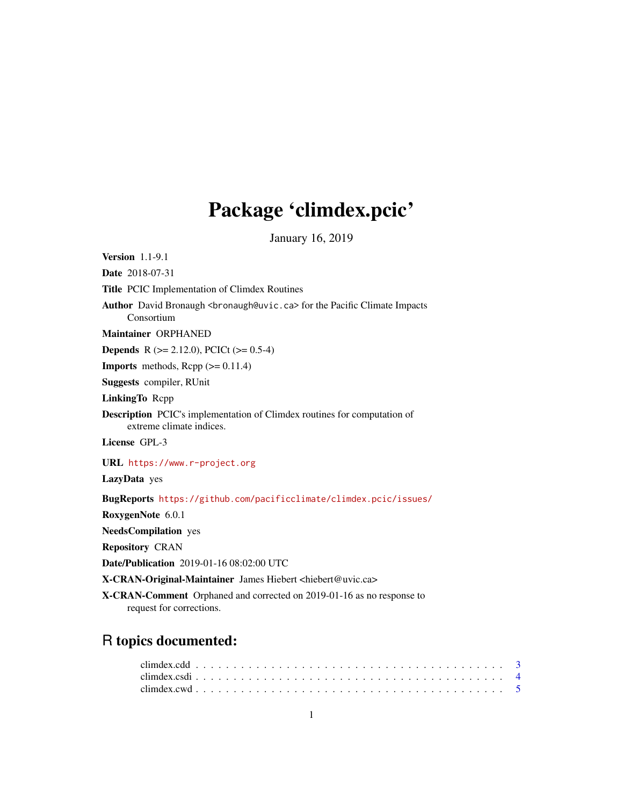# Package 'climdex.pcic'

January 16, 2019

<span id="page-0-0"></span>Version 1.1-9.1 Date 2018-07-31 Title PCIC Implementation of Climdex Routines Author David Bronaugh <br onaugh@uvic.ca> for the Pacific Climate Impacts Consortium Maintainer ORPHANED **Depends** R ( $>= 2.12.0$ ), PCICt ( $>= 0.5-4$ ) **Imports** methods,  $\text{Rcpp} (> = 0.11.4)$ Suggests compiler, RUnit LinkingTo Rcpp Description PCIC's implementation of Climdex routines for computation of extreme climate indices. License GPL-3 URL <https://www.r-project.org> LazyData yes BugReports <https://github.com/pacificclimate/climdex.pcic/issues/> RoxygenNote 6.0.1 NeedsCompilation yes Repository CRAN Date/Publication 2019-01-16 08:02:00 UTC X-CRAN-Original-Maintainer James Hiebert <hiebert@uvic.ca> X-CRAN-Comment Orphaned and corrected on 2019-01-16 as no response to request for corrections.

# R topics documented: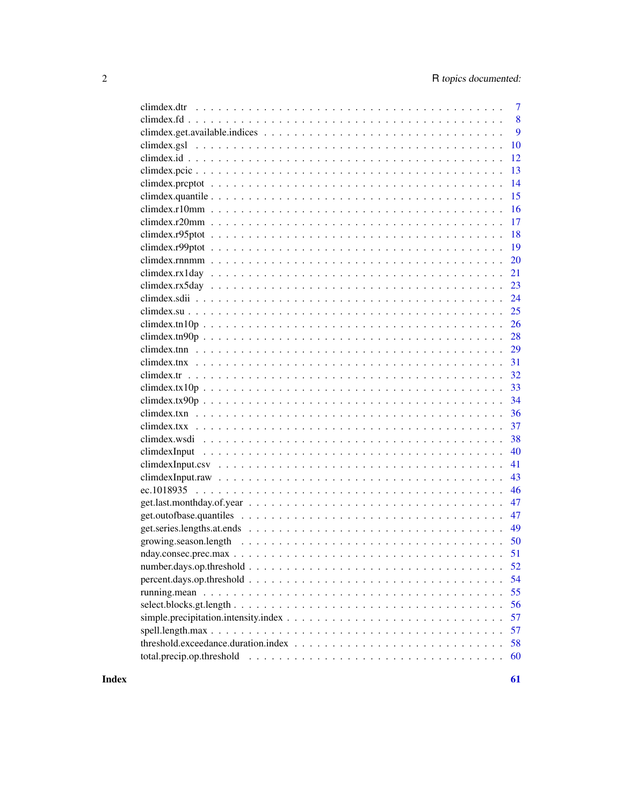|                                                                                                                         | $\overline{7}$ |
|-------------------------------------------------------------------------------------------------------------------------|----------------|
|                                                                                                                         | 8              |
|                                                                                                                         | 9              |
|                                                                                                                         | 10             |
|                                                                                                                         | 12             |
|                                                                                                                         | 13             |
|                                                                                                                         | 14             |
|                                                                                                                         | 15             |
|                                                                                                                         | 16             |
|                                                                                                                         | 17             |
|                                                                                                                         | 18             |
|                                                                                                                         | 19             |
|                                                                                                                         | 20             |
|                                                                                                                         | 21             |
| $climdex.rx5day \ldots \ldots \ldots \ldots \ldots \ldots \ldots \ldots \ldots \ldots \ldots \ldots \ldots$             | 23             |
|                                                                                                                         | 24             |
|                                                                                                                         | 25             |
|                                                                                                                         | 26             |
| climatex.tn90p                                                                                                          | 28             |
|                                                                                                                         | 29             |
|                                                                                                                         | 31             |
|                                                                                                                         | 32             |
|                                                                                                                         | 33             |
|                                                                                                                         | 34             |
|                                                                                                                         | 36             |
|                                                                                                                         | 37             |
|                                                                                                                         | 38             |
|                                                                                                                         | 40             |
|                                                                                                                         | 41             |
|                                                                                                                         | 43             |
|                                                                                                                         | 46             |
|                                                                                                                         | 47             |
|                                                                                                                         | 47             |
| get.series.lengths.at.ends $\ldots \ldots \ldots \ldots \ldots \ldots \ldots \ldots \ldots \ldots \ldots \ldots \ldots$ | 49             |
| growing.season.length                                                                                                   | 50             |
|                                                                                                                         | 51             |
|                                                                                                                         | 52             |
|                                                                                                                         | 54             |
|                                                                                                                         | 55             |
|                                                                                                                         | 56             |
|                                                                                                                         | 57             |
|                                                                                                                         | 57             |
|                                                                                                                         | 58             |
|                                                                                                                         | 60             |
|                                                                                                                         |                |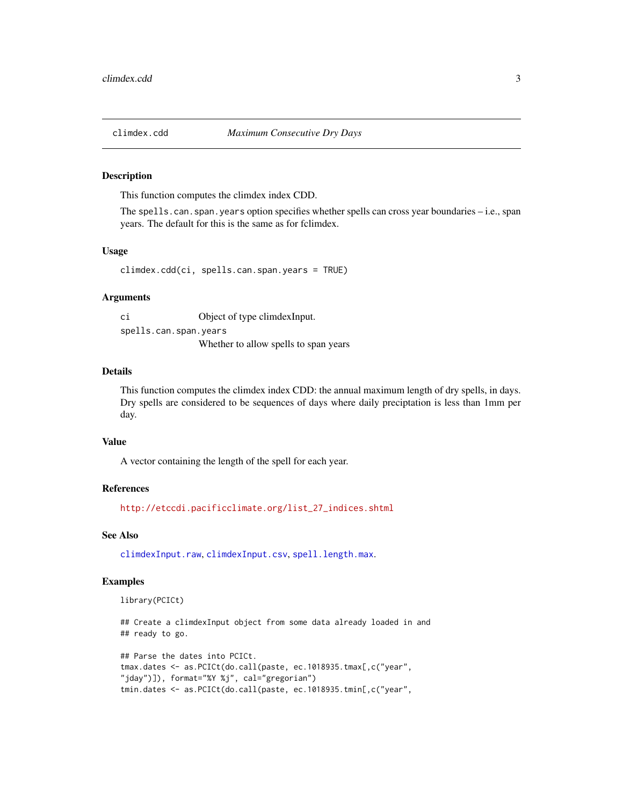<span id="page-2-1"></span><span id="page-2-0"></span>

#### Description

This function computes the climdex index CDD.

The spells.can.span.years option specifies whether spells can cross year boundaries – i.e., span years. The default for this is the same as for fclimdex.

# Usage

climdex.cdd(ci, spells.can.span.years = TRUE)

# Arguments

ci Object of type climdexInput. spells.can.span.years Whether to allow spells to span years

# Details

This function computes the climdex index CDD: the annual maximum length of dry spells, in days. Dry spells are considered to be sequences of days where daily preciptation is less than 1mm per day.

#### Value

A vector containing the length of the spell for each year.

#### References

[http://etccdi.pacificclimate.org/list\\_27\\_indices.shtml](http://etccdi.pacificclimate.org/list_27_indices.shtml)

# See Also

[climdexInput.raw](#page-42-1), [climdexInput.csv](#page-40-1), [spell.length.max](#page-56-1).

# Examples

library(PCICt)

## Create a climdexInput object from some data already loaded in and ## ready to go.

```
## Parse the dates into PCICt.
tmax.dates <- as.PCICt(do.call(paste, ec.1018935.tmax[,c("year",
"jday")]), format="%Y %j", cal="gregorian")
tmin.dates <- as.PCICt(do.call(paste, ec.1018935.tmin[,c("year",
```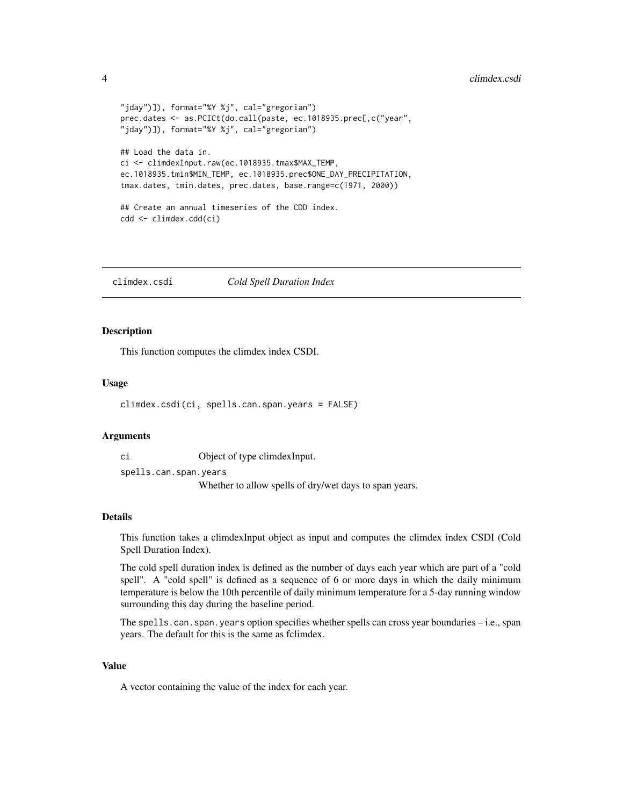#### <span id="page-3-0"></span>4 climdex.csdi

```
"jday")]), format="%Y %j", cal="gregorian")
prec.dates <- as.PCICt(do.call(paste, ec.1018935.prec[,c("year",
"jday")]), format="%Y %j", cal="gregorian")
## Load the data in.
ci <- climdexInput.raw(ec.1018935.tmax$MAX_TEMP,
ec.1018935.tmin$MIN_TEMP, ec.1018935.prec$ONE_DAY_PRECIPITATION,
tmax.dates, tmin.dates, prec.dates, base.range=c(1971, 2000))
## Create an annual timeseries of the CDD index.
cdd <- climdex.cdd(ci)
```
climdex.csdi *Cold Spell Duration Index*

# Description

This function computes the climdex index CSDI.

#### Usage

climdex.csdi(ci, spells.can.span.years = FALSE)

# Arguments

ci Object of type climdexInput.

spells.can.span.years

Whether to allow spells of dry/wet days to span years.

#### Details

This function takes a climdexInput object as input and computes the climdex index CSDI (Cold Spell Duration Index).

The cold spell duration index is defined as the number of days each year which are part of a "cold spell". A "cold spell" is defined as a sequence of 6 or more days in which the daily minimum temperature is below the 10th percentile of daily minimum temperature for a 5-day running window surrounding this day during the baseline period.

The spells.can.span.years option specifies whether spells can cross year boundaries – i.e., span years. The default for this is the same as fclimdex.

# Value

A vector containing the value of the index for each year.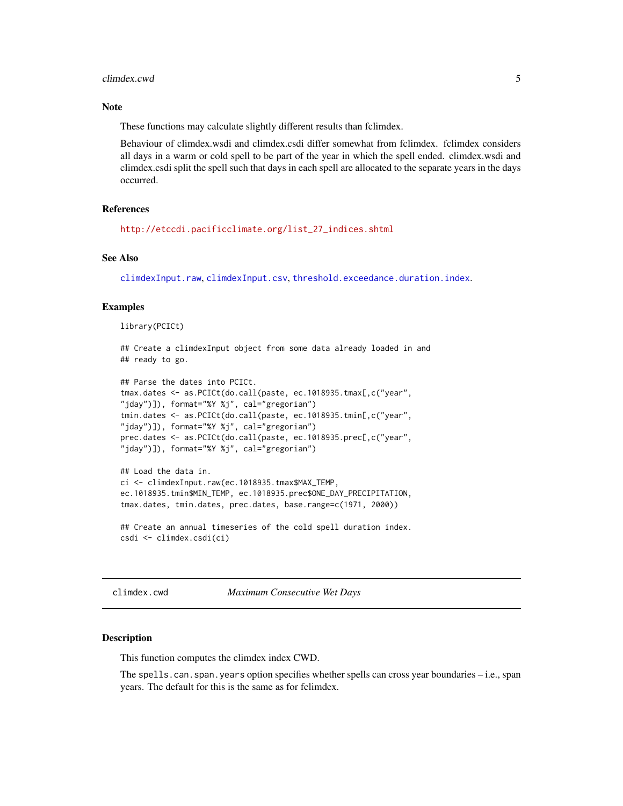#### <span id="page-4-0"></span>climdex.cwd 5

# **Note**

These functions may calculate slightly different results than fclimdex.

Behaviour of climdex.wsdi and climdex.csdi differ somewhat from fclimdex. fclimdex considers all days in a warm or cold spell to be part of the year in which the spell ended. climdex.wsdi and climdex.csdi split the spell such that days in each spell are allocated to the separate years in the days occurred.

# References

[http://etccdi.pacificclimate.org/list\\_27\\_indices.shtml](http://etccdi.pacificclimate.org/list_27_indices.shtml)

# See Also

[climdexInput.raw](#page-42-1), [climdexInput.csv](#page-40-1), [threshold.exceedance.duration.index](#page-57-1).

# Examples

library(PCICt)

## Create a climdexInput object from some data already loaded in and ## ready to go.

```
## Parse the dates into PCICt.
tmax.dates <- as.PCICt(do.call(paste, ec.1018935.tmax[,c("year",
"jday")]), format="%Y %j", cal="gregorian")
tmin.dates <- as.PCICt(do.call(paste, ec.1018935.tmin[,c("year",
"jday")]), format="%Y %j", cal="gregorian")
prec.dates <- as.PCICt(do.call(paste, ec.1018935.prec[,c("year",
"jday")]), format="%Y %j", cal="gregorian")
```

```
## Load the data in.
ci <- climdexInput.raw(ec.1018935.tmax$MAX_TEMP,
ec.1018935.tmin$MIN_TEMP, ec.1018935.prec$ONE_DAY_PRECIPITATION,
tmax.dates, tmin.dates, prec.dates, base.range=c(1971, 2000))
```
## Create an annual timeseries of the cold spell duration index. csdi <- climdex.csdi(ci)

climdex.cwd *Maximum Consecutive Wet Days*

# **Description**

This function computes the climdex index CWD.

The spells.can.span.years option specifies whether spells can cross year boundaries – i.e., span years. The default for this is the same as for fclimdex.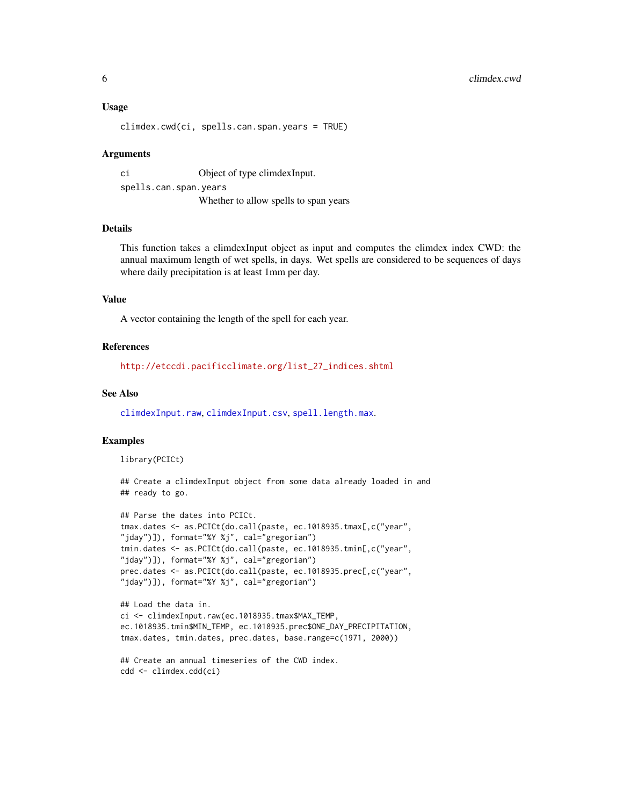# <span id="page-5-0"></span>Usage

```
climdex.cwd(ci, spells.can.span.years = TRUE)
```
#### Arguments

ci Object of type climdexInput. spells.can.span.years Whether to allow spells to span years

# Details

This function takes a climdexInput object as input and computes the climdex index CWD: the annual maximum length of wet spells, in days. Wet spells are considered to be sequences of days where daily precipitation is at least 1mm per day.

#### Value

A vector containing the length of the spell for each year.

# References

[http://etccdi.pacificclimate.org/list\\_27\\_indices.shtml](http://etccdi.pacificclimate.org/list_27_indices.shtml)

# See Also

[climdexInput.raw](#page-42-1), [climdexInput.csv](#page-40-1), [spell.length.max](#page-56-1).

# Examples

library(PCICt)

## Create a climdexInput object from some data already loaded in and ## ready to go.

```
## Parse the dates into PCICt.
tmax.dates <- as.PCICt(do.call(paste, ec.1018935.tmax[,c("year",
"jday")]), format="%Y %j", cal="gregorian")
tmin.dates <- as.PCICt(do.call(paste, ec.1018935.tmin[,c("year",
"jday")]), format="%Y %j", cal="gregorian")
prec.dates <- as.PCICt(do.call(paste, ec.1018935.prec[,c("year",
"jday")]), format="%Y %j", cal="gregorian")
## Load the data in.
ci <- climdexInput.raw(ec.1018935.tmax$MAX_TEMP,
ec.1018935.tmin$MIN_TEMP, ec.1018935.prec$ONE_DAY_PRECIPITATION,
tmax.dates, tmin.dates, prec.dates, base.range=c(1971, 2000))
```

```
## Create an annual timeseries of the CWD index.
cdd <- climdex.cdd(ci)
```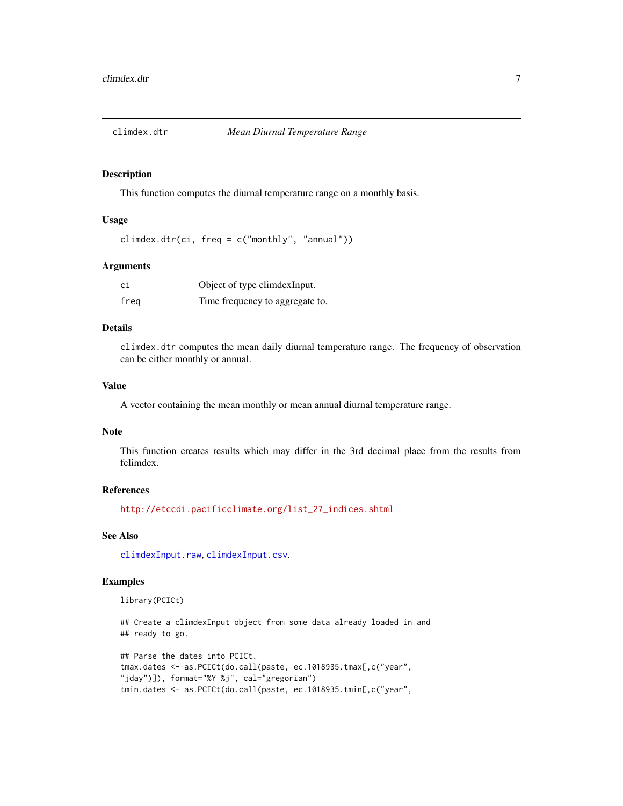<span id="page-6-0"></span>

#### Description

This function computes the diurnal temperature range on a monthly basis.

# Usage

climdex.dtr(ci, freq =  $c("monthly", "annual"))$ 

# Arguments

| сi   | Object of type climdexInput.    |
|------|---------------------------------|
| freg | Time frequency to aggregate to. |

# Details

climdex.dtr computes the mean daily diurnal temperature range. The frequency of observation can be either monthly or annual.

# Value

A vector containing the mean monthly or mean annual diurnal temperature range.

#### Note

This function creates results which may differ in the 3rd decimal place from the results from fclimdex.

# References

[http://etccdi.pacificclimate.org/list\\_27\\_indices.shtml](http://etccdi.pacificclimate.org/list_27_indices.shtml)

# See Also

[climdexInput.raw](#page-42-1), [climdexInput.csv](#page-40-1).

#### Examples

library(PCICt)

## Create a climdexInput object from some data already loaded in and ## ready to go.

```
## Parse the dates into PCICt.
tmax.dates <- as.PCICt(do.call(paste, ec.1018935.tmax[,c("year",
"jday")]), format="%Y %j", cal="gregorian")
tmin.dates <- as.PCICt(do.call(paste, ec.1018935.tmin[,c("year",
```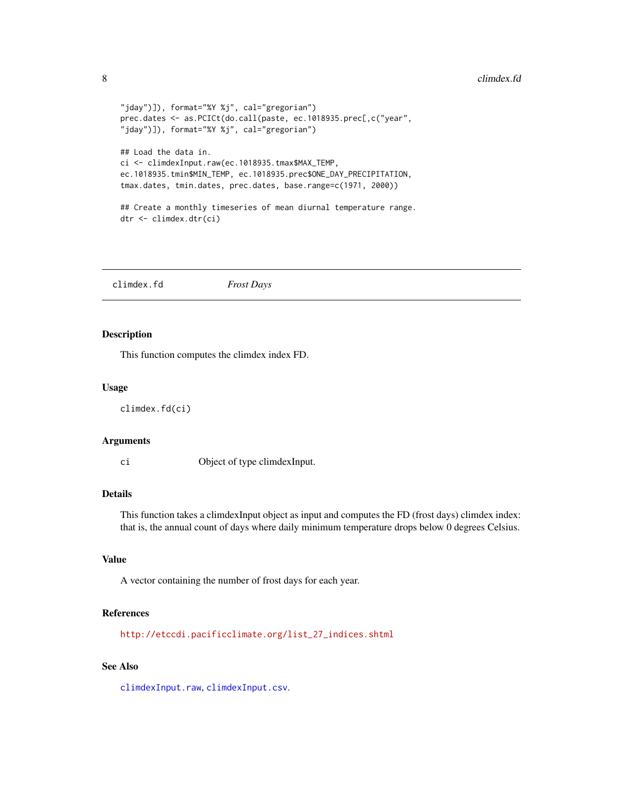#### <span id="page-7-0"></span>8 climdex.fd  $\blacksquare$

```
"jday")]), format="%Y %j", cal="gregorian")
prec.dates <- as.PCICt(do.call(paste, ec.1018935.prec[,c("year",
"jday")]), format="%Y %j", cal="gregorian")
## Load the data in.
ci <- climdexInput.raw(ec.1018935.tmax$MAX_TEMP,
ec.1018935.tmin$MIN_TEMP, ec.1018935.prec$ONE_DAY_PRECIPITATION,
tmax.dates, tmin.dates, prec.dates, base.range=c(1971, 2000))
## Create a monthly timeseries of mean diurnal temperature range.
dtr <- climdex.dtr(ci)
```
climdex.fd *Frost Days*

#### Description

This function computes the climdex index FD.

#### Usage

climdex.fd(ci)

#### Arguments

ci Object of type climdexInput.

# Details

This function takes a climdexInput object as input and computes the FD (frost days) climdex index: that is, the annual count of days where daily minimum temperature drops below 0 degrees Celsius.

# Value

A vector containing the number of frost days for each year.

# References

[http://etccdi.pacificclimate.org/list\\_27\\_indices.shtml](http://etccdi.pacificclimate.org/list_27_indices.shtml)

# See Also

[climdexInput.raw](#page-42-1), [climdexInput.csv](#page-40-1).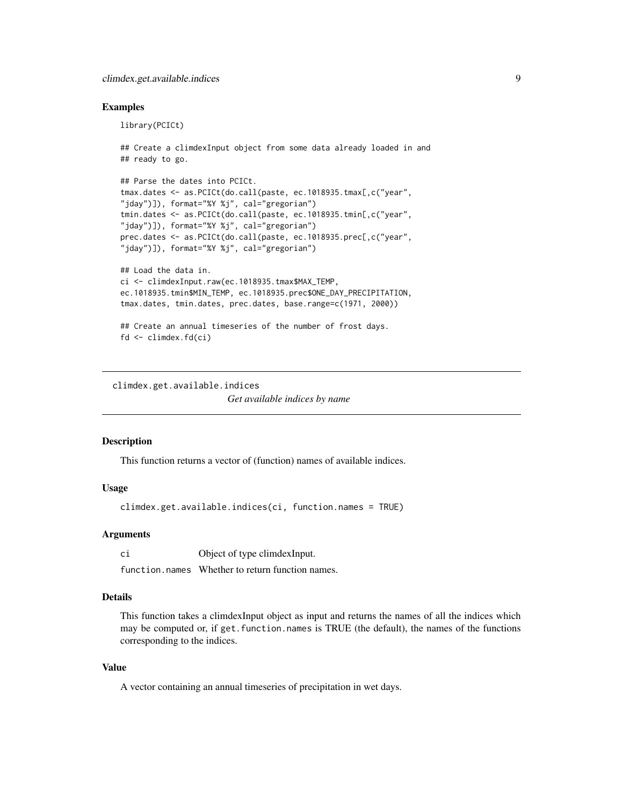# <span id="page-8-0"></span>Examples

library(PCICt)

```
## ready to go.
## Parse the dates into PCICt.
tmax.dates <- as.PCICt(do.call(paste, ec.1018935.tmax[,c("year",
"jday")]), format="%Y %j", cal="gregorian")
tmin.dates <- as.PCICt(do.call(paste, ec.1018935.tmin[,c("year",
"jday")]), format="%Y %j", cal="gregorian")
prec.dates <- as.PCICt(do.call(paste, ec.1018935.prec[,c("year",
"jday")]), format="%Y %j", cal="gregorian")
## Load the data in.
ci <- climdexInput.raw(ec.1018935.tmax$MAX_TEMP,
ec.1018935.tmin$MIN_TEMP, ec.1018935.prec$ONE_DAY_PRECIPITATION,
tmax.dates, tmin.dates, prec.dates, base.range=c(1971, 2000))
## Create an annual timeseries of the number of frost days.
```
## Create a climdexInput object from some data already loaded in and

```
fd <- climdex.fd(ci)
```
climdex.get.available.indices *Get available indices by name*

# **Description**

This function returns a vector of (function) names of available indices.

#### Usage

```
climdex.get.available.indices(ci, function.names = TRUE)
```
#### Arguments

ci Object of type climdexInput.

function.names Whether to return function names.

# Details

This function takes a climdexInput object as input and returns the names of all the indices which may be computed or, if get.function.names is TRUE (the default), the names of the functions corresponding to the indices.

# Value

A vector containing an annual timeseries of precipitation in wet days.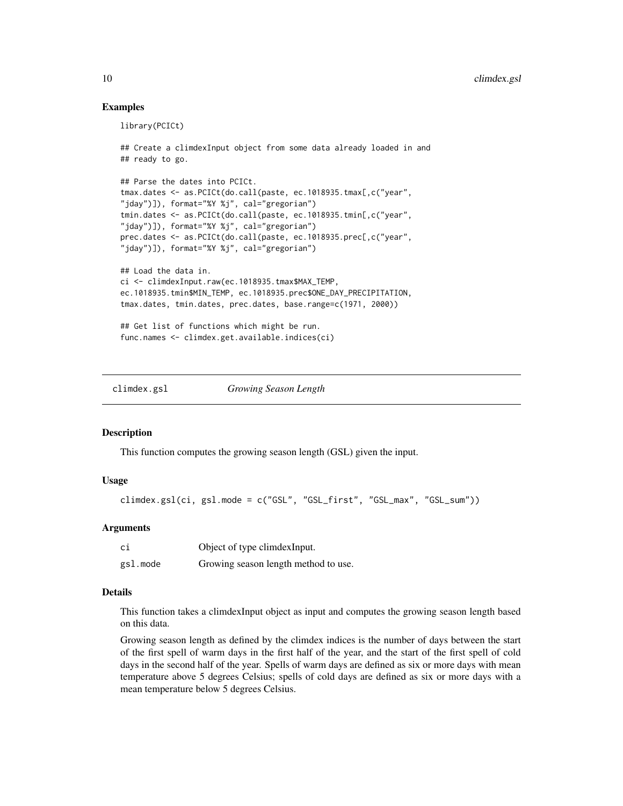# Examples

```
library(PCICt)
## Create a climdexInput object from some data already loaded in and
## ready to go.
## Parse the dates into PCICt.
tmax.dates <- as.PCICt(do.call(paste, ec.1018935.tmax[,c("year",
"jday")]), format="%Y %j", cal="gregorian")
tmin.dates <- as.PCICt(do.call(paste, ec.1018935.tmin[,c("year",
"jday")]), format="%Y %j", cal="gregorian")
prec.dates <- as.PCICt(do.call(paste, ec.1018935.prec[,c("year",
"jday")]), format="%Y %j", cal="gregorian")
## Load the data in.
ci <- climdexInput.raw(ec.1018935.tmax$MAX_TEMP,
ec.1018935.tmin$MIN_TEMP, ec.1018935.prec$ONE_DAY_PRECIPITATION,
tmax.dates, tmin.dates, prec.dates, base.range=c(1971, 2000))
## Get list of functions which might be run.
func.names <- climdex.get.available.indices(ci)
```
<span id="page-9-1"></span>climdex.gsl *Growing Season Length*

#### Description

This function computes the growing season length (GSL) given the input.

# Usage

```
climdex.gsl(ci, gsl.mode = c("GSL", "GSL_first", "GSL_max", "GSL_sum"))
```
# Arguments

| сi       | Object of type climdex Input.        |
|----------|--------------------------------------|
| gsl.mode | Growing season length method to use. |

# Details

This function takes a climdexInput object as input and computes the growing season length based on this data.

Growing season length as defined by the climdex indices is the number of days between the start of the first spell of warm days in the first half of the year, and the start of the first spell of cold days in the second half of the year. Spells of warm days are defined as six or more days with mean temperature above 5 degrees Celsius; spells of cold days are defined as six or more days with a mean temperature below 5 degrees Celsius.

<span id="page-9-0"></span>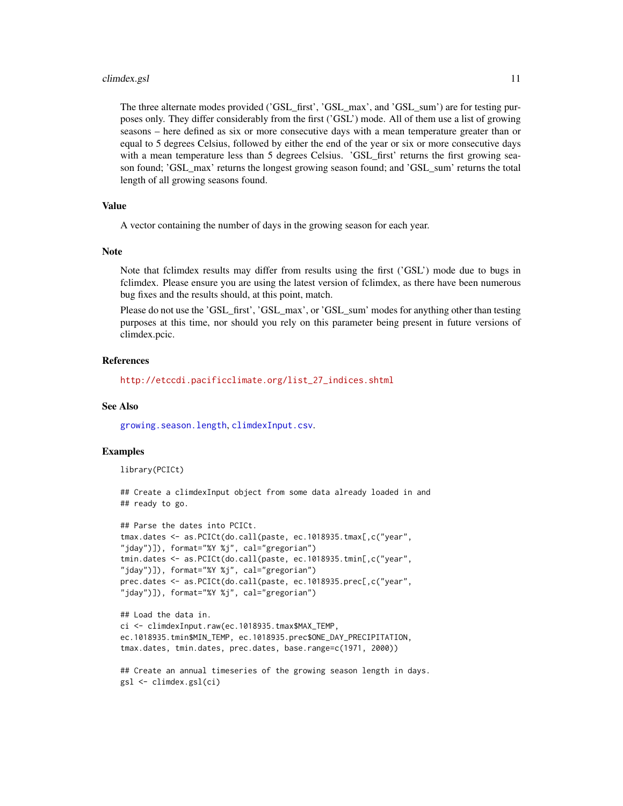#### <span id="page-10-0"></span>climdex.gsl 11

The three alternate modes provided ('GSL\_first', 'GSL\_max', and 'GSL\_sum') are for testing purposes only. They differ considerably from the first ('GSL') mode. All of them use a list of growing seasons – here defined as six or more consecutive days with a mean temperature greater than or equal to 5 degrees Celsius, followed by either the end of the year or six or more consecutive days with a mean temperature less than 5 degrees Celsius. 'GSL\_first' returns the first growing season found; 'GSL\_max' returns the longest growing season found; and 'GSL\_sum' returns the total length of all growing seasons found.

# Value

A vector containing the number of days in the growing season for each year.

#### Note

Note that fclimdex results may differ from results using the first ('GSL') mode due to bugs in fclimdex. Please ensure you are using the latest version of fclimdex, as there have been numerous bug fixes and the results should, at this point, match.

Please do not use the 'GSL\_first', 'GSL\_max', or 'GSL\_sum' modes for anything other than testing purposes at this time, nor should you rely on this parameter being present in future versions of climdex.pcic.

# References

[http://etccdi.pacificclimate.org/list\\_27\\_indices.shtml](http://etccdi.pacificclimate.org/list_27_indices.shtml)

#### See Also

[growing.season.length](#page-49-1), [climdexInput.csv](#page-40-1).

#### Examples

library(PCICt)

## Create a climdexInput object from some data already loaded in and ## ready to go.

```
## Parse the dates into PCICt.
tmax.dates <- as.PCICt(do.call(paste, ec.1018935.tmax[,c("year",
"jday")]), format="%Y %j", cal="gregorian")
tmin.dates <- as.PCICt(do.call(paste, ec.1018935.tmin[,c("year",
"jday")]), format="%Y %j", cal="gregorian")
prec.dates <- as.PCICt(do.call(paste, ec.1018935.prec[,c("year",
"jday")]), format="%Y %j", cal="gregorian")
```

```
## Load the data in.
ci <- climdexInput.raw(ec.1018935.tmax$MAX_TEMP,
ec.1018935.tmin$MIN_TEMP, ec.1018935.prec$ONE_DAY_PRECIPITATION,
tmax.dates, tmin.dates, prec.dates, base.range=c(1971, 2000))
```

```
## Create an annual timeseries of the growing season length in days.
gsl <- climdex.gsl(ci)
```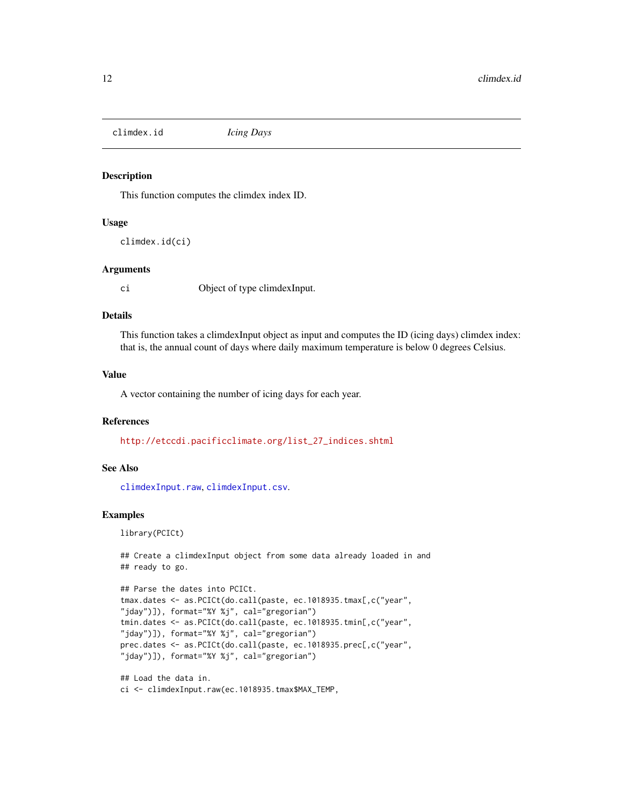<span id="page-11-0"></span>climdex.id *Icing Days*

# Description

This function computes the climdex index ID.

# Usage

climdex.id(ci)

# Arguments

ci Object of type climdexInput.

# Details

This function takes a climdexInput object as input and computes the ID (icing days) climdex index: that is, the annual count of days where daily maximum temperature is below 0 degrees Celsius.

# Value

A vector containing the number of icing days for each year.

#### References

[http://etccdi.pacificclimate.org/list\\_27\\_indices.shtml](http://etccdi.pacificclimate.org/list_27_indices.shtml)

# See Also

[climdexInput.raw](#page-42-1), [climdexInput.csv](#page-40-1).

#### Examples

library(PCICt)

```
## Create a climdexInput object from some data already loaded in and
## ready to go.
```

```
## Parse the dates into PCICt.
tmax.dates <- as.PCICt(do.call(paste, ec.1018935.tmax[,c("year",
"jday")]), format="%Y %j", cal="gregorian")
tmin.dates <- as.PCICt(do.call(paste, ec.1018935.tmin[,c("year",
"jday")]), format="%Y %j", cal="gregorian")
prec.dates <- as.PCICt(do.call(paste, ec.1018935.prec[,c("year",
"jday")]), format="%Y %j", cal="gregorian")
```
## Load the data in. ci <- climdexInput.raw(ec.1018935.tmax\$MAX\_TEMP,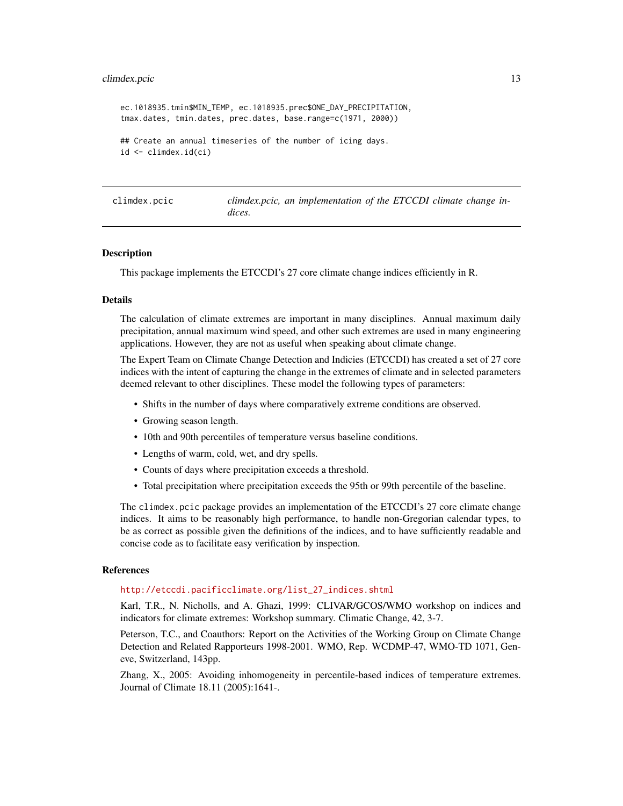#### <span id="page-12-0"></span>climdex.pcic 13

```
ec.1018935.tmin$MIN_TEMP, ec.1018935.prec$ONE_DAY_PRECIPITATION,
tmax.dates, tmin.dates, prec.dates, base.range=c(1971, 2000))
## Create an annual timeseries of the number of icing days.
id <- climdex.id(ci)
```

| climdex.pcic | climdex.pcic, an implementation of the ETCCDI climate change in- |  |
|--------------|------------------------------------------------------------------|--|
|              | dices.                                                           |  |

#### <span id="page-12-1"></span>**Description**

This package implements the ETCCDI's 27 core climate change indices efficiently in R.

#### Details

The calculation of climate extremes are important in many disciplines. Annual maximum daily precipitation, annual maximum wind speed, and other such extremes are used in many engineering applications. However, they are not as useful when speaking about climate change.

The Expert Team on Climate Change Detection and Indicies (ETCCDI) has created a set of 27 core indices with the intent of capturing the change in the extremes of climate and in selected parameters deemed relevant to other disciplines. These model the following types of parameters:

- Shifts in the number of days where comparatively extreme conditions are observed.
- Growing season length.
- 10th and 90th percentiles of temperature versus baseline conditions.
- Lengths of warm, cold, wet, and dry spells.
- Counts of days where precipitation exceeds a threshold.
- Total precipitation where precipitation exceeds the 95th or 99th percentile of the baseline.

The climdex.pcic package provides an implementation of the ETCCDI's 27 core climate change indices. It aims to be reasonably high performance, to handle non-Gregorian calendar types, to be as correct as possible given the definitions of the indices, and to have sufficiently readable and concise code as to facilitate easy verification by inspection.

# References

#### [http://etccdi.pacificclimate.org/list\\_27\\_indices.shtml](http://etccdi.pacificclimate.org/list_27_indices.shtml)

Karl, T.R., N. Nicholls, and A. Ghazi, 1999: CLIVAR/GCOS/WMO workshop on indices and indicators for climate extremes: Workshop summary. Climatic Change, 42, 3-7.

Peterson, T.C., and Coauthors: Report on the Activities of the Working Group on Climate Change Detection and Related Rapporteurs 1998-2001. WMO, Rep. WCDMP-47, WMO-TD 1071, Geneve, Switzerland, 143pp.

Zhang, X., 2005: Avoiding inhomogeneity in percentile-based indices of temperature extremes. Journal of Climate 18.11 (2005):1641-.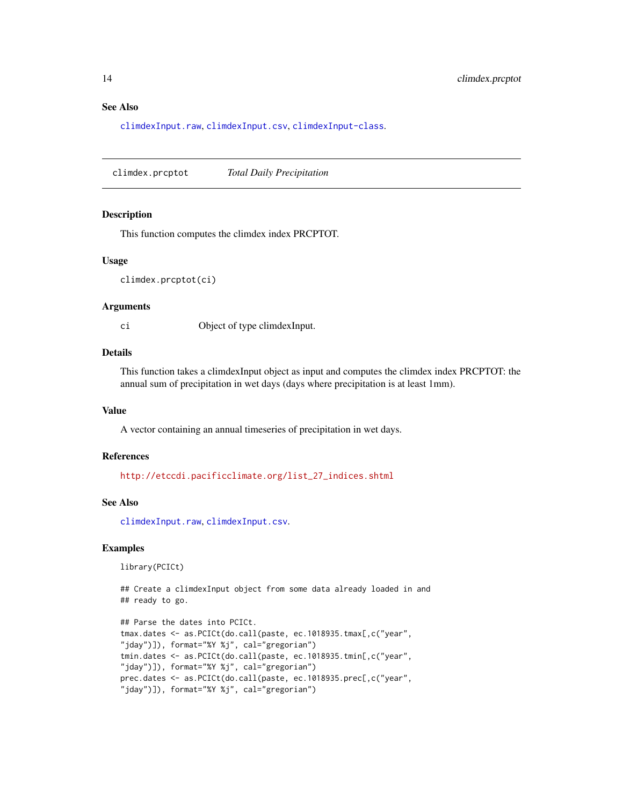# See Also

[climdexInput.raw](#page-42-1), [climdexInput.csv](#page-40-1), [climdexInput-class](#page-39-1).

climdex.prcptot *Total Daily Precipitation*

#### Description

This function computes the climdex index PRCPTOT.

#### Usage

climdex.prcptot(ci)

#### Arguments

ci Object of type climdexInput.

# Details

This function takes a climdexInput object as input and computes the climdex index PRCPTOT: the annual sum of precipitation in wet days (days where precipitation is at least 1mm).

#### Value

A vector containing an annual timeseries of precipitation in wet days.

#### References

[http://etccdi.pacificclimate.org/list\\_27\\_indices.shtml](http://etccdi.pacificclimate.org/list_27_indices.shtml)

# See Also

[climdexInput.raw](#page-42-1), [climdexInput.csv](#page-40-1).

# Examples

library(PCICt)

```
## Create a climdexInput object from some data already loaded in and
## ready to go.
```

```
## Parse the dates into PCICt.
tmax.dates <- as.PCICt(do.call(paste, ec.1018935.tmax[,c("year",
"jday")]), format="%Y %j", cal="gregorian")
tmin.dates <- as.PCICt(do.call(paste, ec.1018935.tmin[,c("year",
"jday")]), format="%Y %j", cal="gregorian")
prec.dates <- as.PCICt(do.call(paste, ec.1018935.prec[,c("year",
"jday")]), format="%Y %j", cal="gregorian")
```
<span id="page-13-0"></span>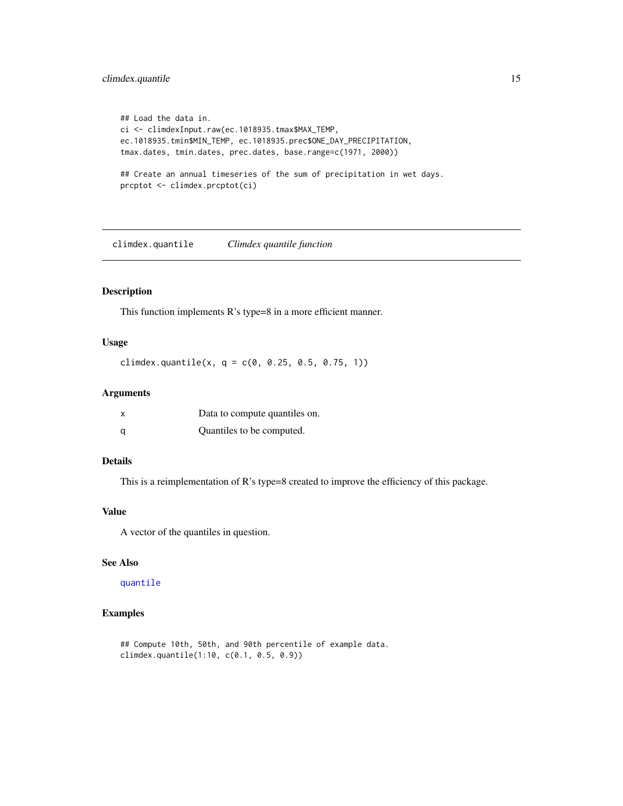# <span id="page-14-0"></span>climdex.quantile 15

```
## Load the data in.
ci <- climdexInput.raw(ec.1018935.tmax$MAX_TEMP,
ec.1018935.tmin$MIN_TEMP, ec.1018935.prec$ONE_DAY_PRECIPITATION,
tmax.dates, tmin.dates, prec.dates, base.range=c(1971, 2000))
## Create an annual timeseries of the sum of precipitation in wet days.
prcptot <- climdex.prcptot(ci)
```
climdex.quantile *Climdex quantile function*

# Description

This function implements R's type=8 in a more efficient manner.

# Usage

climdex.quantile(x,  $q = c(0, 0.25, 0.5, 0.75, 1)$ )

# Arguments

| $\boldsymbol{\mathsf{x}}$ | Data to compute quantiles on. |
|---------------------------|-------------------------------|
| a                         | Quantiles to be computed.     |

# Details

This is a reimplementation of R's type=8 created to improve the efficiency of this package.

# Value

A vector of the quantiles in question.

# See Also

[quantile](#page-0-0)

# Examples

## Compute 10th, 50th, and 90th percentile of example data. climdex.quantile(1:10, c(0.1, 0.5, 0.9))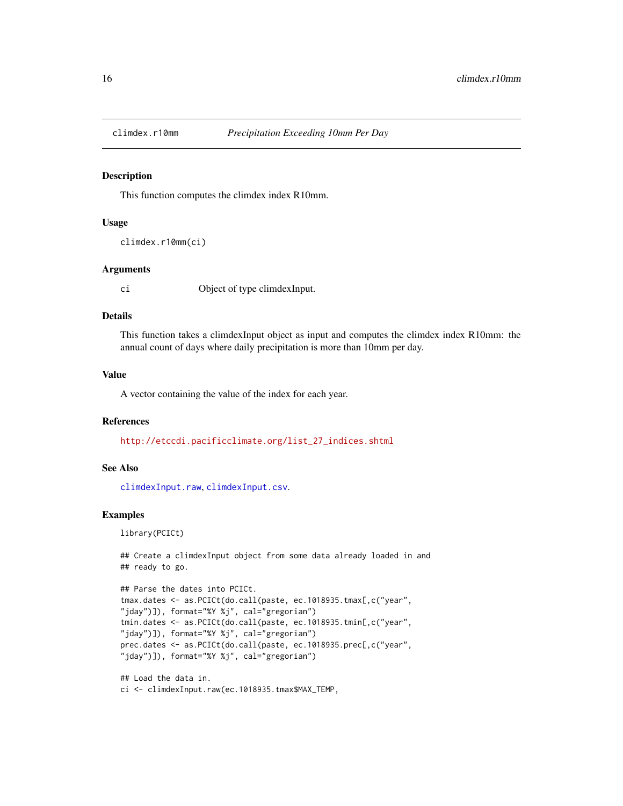<span id="page-15-0"></span>

#### Description

This function computes the climdex index R10mm.

#### Usage

```
climdex.r10mm(ci)
```
# Arguments

ci Object of type climdexInput.

# Details

This function takes a climdexInput object as input and computes the climdex index R10mm: the annual count of days where daily precipitation is more than 10mm per day.

# Value

A vector containing the value of the index for each year.

#### References

[http://etccdi.pacificclimate.org/list\\_27\\_indices.shtml](http://etccdi.pacificclimate.org/list_27_indices.shtml)

# See Also

[climdexInput.raw](#page-42-1), [climdexInput.csv](#page-40-1).

#### Examples

library(PCICt)

```
## Create a climdexInput object from some data already loaded in and
## ready to go.
```

```
## Parse the dates into PCICt.
tmax.dates <- as.PCICt(do.call(paste, ec.1018935.tmax[,c("year",
"jday")]), format="%Y %j", cal="gregorian")
tmin.dates <- as.PCICt(do.call(paste, ec.1018935.tmin[,c("year",
"jday")]), format="%Y %j", cal="gregorian")
prec.dates <- as.PCICt(do.call(paste, ec.1018935.prec[,c("year",
"jday")]), format="%Y %j", cal="gregorian")
```
## Load the data in. ci <- climdexInput.raw(ec.1018935.tmax\$MAX\_TEMP,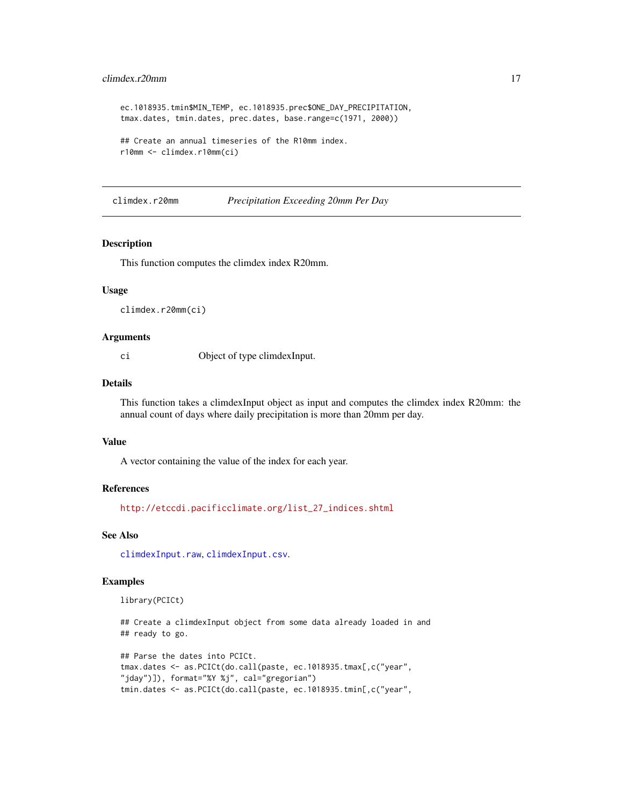# <span id="page-16-0"></span>climdex.r20mm 17

```
ec.1018935.tmin$MIN_TEMP, ec.1018935.prec$ONE_DAY_PRECIPITATION,
tmax.dates, tmin.dates, prec.dates, base.range=c(1971, 2000))
## Create an annual timeseries of the R10mm index.
r10mm <- climdex.r10mm(ci)
```
climdex.r20mm *Precipitation Exceeding 20mm Per Day*

# Description

This function computes the climdex index R20mm.

# Usage

climdex.r20mm(ci)

#### Arguments

ci Object of type climdexInput.

#### Details

This function takes a climdexInput object as input and computes the climdex index R20mm: the annual count of days where daily precipitation is more than 20mm per day.

# Value

A vector containing the value of the index for each year.

#### References

[http://etccdi.pacificclimate.org/list\\_27\\_indices.shtml](http://etccdi.pacificclimate.org/list_27_indices.shtml)

# See Also

[climdexInput.raw](#page-42-1), [climdexInput.csv](#page-40-1).

# Examples

library(PCICt)

## Create a climdexInput object from some data already loaded in and ## ready to go.

```
## Parse the dates into PCICt.
tmax.dates <- as.PCICt(do.call(paste, ec.1018935.tmax[,c("year",
"jday")]), format="%Y %j", cal="gregorian")
tmin.dates <- as.PCICt(do.call(paste, ec.1018935.tmin[,c("year",
```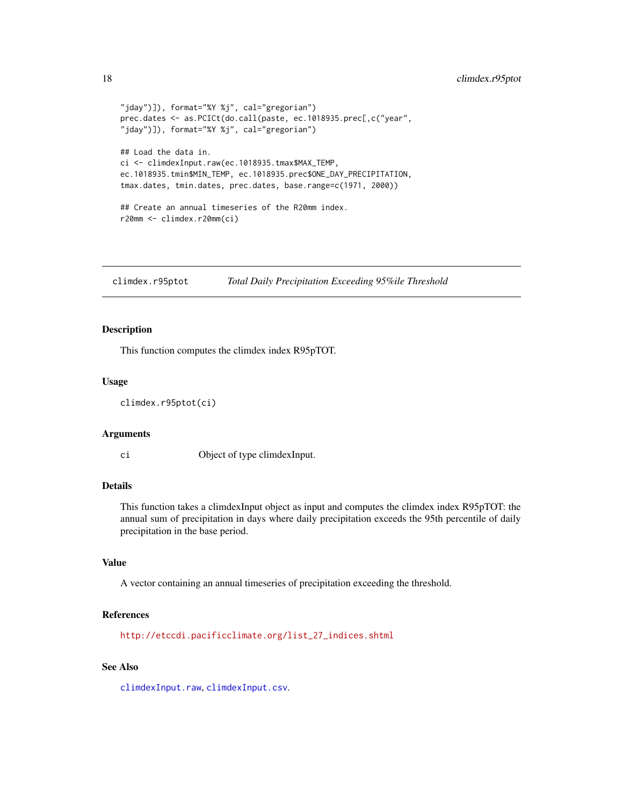```
"jday")]), format="%Y %j", cal="gregorian")
prec.dates <- as.PCICt(do.call(paste, ec.1018935.prec[,c("year",
"jday")]), format="%Y %j", cal="gregorian")
## Load the data in.
ci <- climdexInput.raw(ec.1018935.tmax$MAX_TEMP,
ec.1018935.tmin$MIN_TEMP, ec.1018935.prec$ONE_DAY_PRECIPITATION,
tmax.dates, tmin.dates, prec.dates, base.range=c(1971, 2000))
## Create an annual timeseries of the R20mm index.
r20mm <- climdex.r20mm(ci)
```
climdex.r95ptot *Total Daily Precipitation Exceeding 95%ile Threshold*

# Description

This function computes the climdex index R95pTOT.

#### Usage

```
climdex.r95ptot(ci)
```
#### Arguments

ci Object of type climdexInput.

#### Details

This function takes a climdexInput object as input and computes the climdex index R95pTOT: the annual sum of precipitation in days where daily precipitation exceeds the 95th percentile of daily precipitation in the base period.

# Value

A vector containing an annual timeseries of precipitation exceeding the threshold.

#### References

[http://etccdi.pacificclimate.org/list\\_27\\_indices.shtml](http://etccdi.pacificclimate.org/list_27_indices.shtml)

# See Also

[climdexInput.raw](#page-42-1), [climdexInput.csv](#page-40-1).

<span id="page-17-0"></span>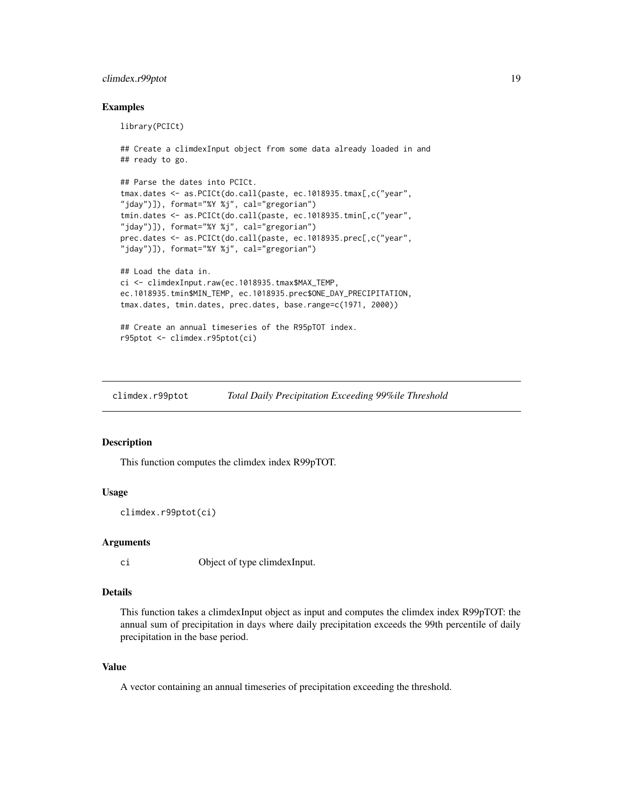# <span id="page-18-0"></span>climdex.r99ptot 19

# Examples

```
library(PCICt)
## Create a climdexInput object from some data already loaded in and
## ready to go.
## Parse the dates into PCICt.
tmax.dates <- as.PCICt(do.call(paste, ec.1018935.tmax[,c("year",
"jday")]), format="%Y %j", cal="gregorian")
tmin.dates <- as.PCICt(do.call(paste, ec.1018935.tmin[,c("year",
"jday")]), format="%Y %j", cal="gregorian")
prec.dates <- as.PCICt(do.call(paste, ec.1018935.prec[,c("year",
"jday")]), format="%Y %j", cal="gregorian")
## Load the data in.
ci <- climdexInput.raw(ec.1018935.tmax$MAX_TEMP,
ec.1018935.tmin$MIN_TEMP, ec.1018935.prec$ONE_DAY_PRECIPITATION,
tmax.dates, tmin.dates, prec.dates, base.range=c(1971, 2000))
## Create an annual timeseries of the R95pTOT index.
r95ptot <- climdex.r95ptot(ci)
```
<span id="page-18-1"></span>climdex.r99ptot *Total Daily Precipitation Exceeding 99%ile Threshold*

# Description

This function computes the climdex index R99pTOT.

# Usage

```
climdex.r99ptot(ci)
```
#### Arguments

ci Object of type climdexInput.

# Details

This function takes a climdexInput object as input and computes the climdex index R99pTOT: the annual sum of precipitation in days where daily precipitation exceeds the 99th percentile of daily precipitation in the base period.

# Value

A vector containing an annual timeseries of precipitation exceeding the threshold.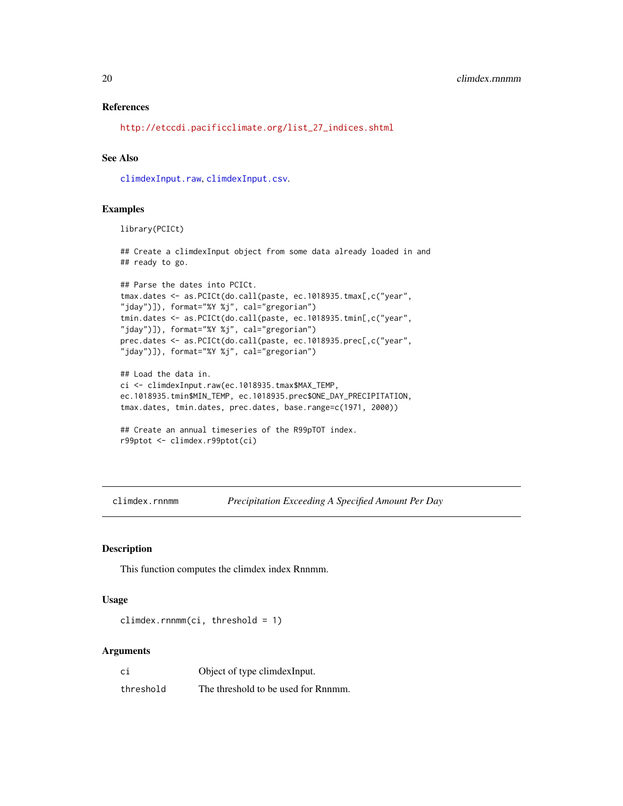# <span id="page-19-0"></span>References

[http://etccdi.pacificclimate.org/list\\_27\\_indices.shtml](http://etccdi.pacificclimate.org/list_27_indices.shtml)

# See Also

[climdexInput.raw](#page-42-1), [climdexInput.csv](#page-40-1).

#### Examples

library(PCICt)

## Create a climdexInput object from some data already loaded in and ## ready to go.

```
## Parse the dates into PCICt.
tmax.dates <- as.PCICt(do.call(paste, ec.1018935.tmax[,c("year",
"jday")]), format="%Y %j", cal="gregorian")
tmin.dates <- as.PCICt(do.call(paste, ec.1018935.tmin[,c("year",
"jday")]), format="%Y %j", cal="gregorian")
prec.dates <- as.PCICt(do.call(paste, ec.1018935.prec[,c("year",
"jday")]), format="%Y %j", cal="gregorian")
```

```
## Load the data in.
ci <- climdexInput.raw(ec.1018935.tmax$MAX_TEMP,
ec.1018935.tmin$MIN_TEMP, ec.1018935.prec$ONE_DAY_PRECIPITATION,
tmax.dates, tmin.dates, prec.dates, base.range=c(1971, 2000))
```

```
## Create an annual timeseries of the R99pTOT index.
r99ptot <- climdex.r99ptot(ci)
```
climdex.rnnmm *Precipitation Exceeding A Specified Amount Per Day*

# Description

This function computes the climdex index Rnnmm.

#### Usage

```
climdex.rnnmm(ci, threshold = 1)
```
#### Arguments

| сi        | Object of type climdex Input.       |
|-----------|-------------------------------------|
| threshold | The threshold to be used for Rnnmm. |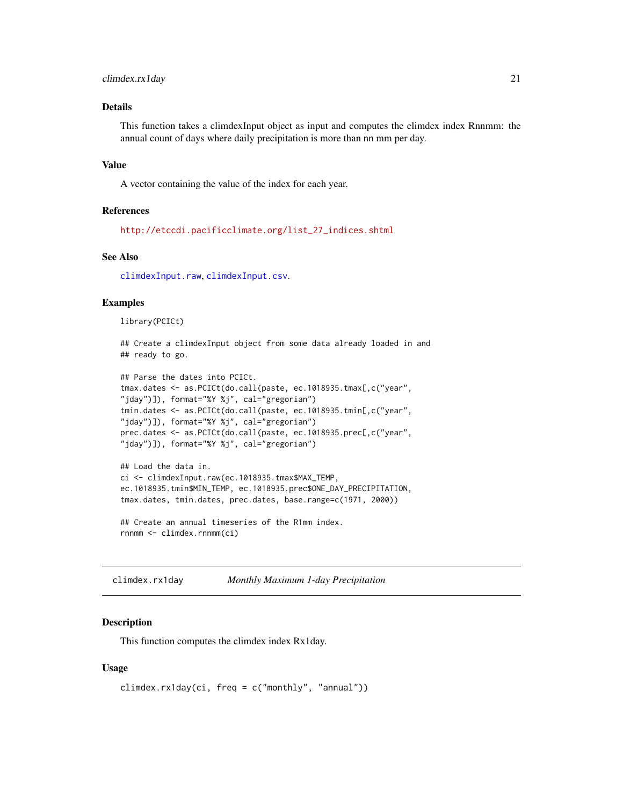# <span id="page-20-0"></span>climdex.rx1day 21

# Details

This function takes a climdexInput object as input and computes the climdex index Rnnmm: the annual count of days where daily precipitation is more than nn mm per day.

#### Value

A vector containing the value of the index for each year.

# References

[http://etccdi.pacificclimate.org/list\\_27\\_indices.shtml](http://etccdi.pacificclimate.org/list_27_indices.shtml)

# See Also

[climdexInput.raw](#page-42-1), [climdexInput.csv](#page-40-1).

# Examples

library(PCICt)

## Create a climdexInput object from some data already loaded in and ## ready to go.

```
## Parse the dates into PCICt.
tmax.dates <- as.PCICt(do.call(paste, ec.1018935.tmax[,c("year",
"jday")]), format="%Y %j", cal="gregorian")
tmin.dates <- as.PCICt(do.call(paste, ec.1018935.tmin[,c("year",
"jday")]), format="%Y %j", cal="gregorian")
prec.dates <- as.PCICt(do.call(paste, ec.1018935.prec[,c("year",
"jday")]), format="%Y %j", cal="gregorian")
```

```
## Load the data in.
ci <- climdexInput.raw(ec.1018935.tmax$MAX_TEMP,
ec.1018935.tmin$MIN_TEMP, ec.1018935.prec$ONE_DAY_PRECIPITATION,
tmax.dates, tmin.dates, prec.dates, base.range=c(1971, 2000))
```

```
## Create an annual timeseries of the R1mm index.
rnnmm <- climdex.rnnmm(ci)
```
climdex.rx1day *Monthly Maximum 1-day Precipitation*

# Description

This function computes the climdex index Rx1day.

# Usage

```
climdex.rx1day(ci, freq = c("monthly", "annual"))
```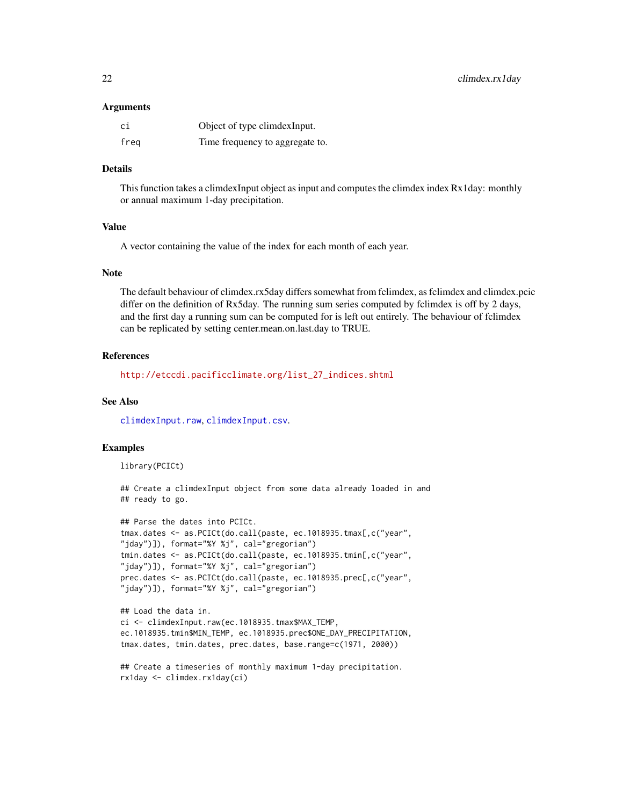#### Arguments

| сi   | Object of type climdex Input.   |
|------|---------------------------------|
| freg | Time frequency to aggregate to. |

#### Details

This function takes a climdexInput object as input and computes the climdex index Rx1day: monthly or annual maximum 1-day precipitation.

#### Value

A vector containing the value of the index for each month of each year.

# Note

The default behaviour of climdex.rx5day differs somewhat from fclimdex, as fclimdex and climdex.pcic differ on the definition of Rx5day. The running sum series computed by fclimdex is off by 2 days, and the first day a running sum can be computed for is left out entirely. The behaviour of fclimdex can be replicated by setting center.mean.on.last.day to TRUE.

#### References

[http://etccdi.pacificclimate.org/list\\_27\\_indices.shtml](http://etccdi.pacificclimate.org/list_27_indices.shtml)

# See Also

[climdexInput.raw](#page-42-1), [climdexInput.csv](#page-40-1).

#### Examples

library(PCICt)

```
## Create a climdexInput object from some data already loaded in and
## ready to go.
```

```
## Parse the dates into PCICt.
tmax.dates <- as.PCICt(do.call(paste, ec.1018935.tmax[,c("year",
"jday")]), format="%Y %j", cal="gregorian")
tmin.dates <- as.PCICt(do.call(paste, ec.1018935.tmin[,c("year",
"jday")]), format="%Y %j", cal="gregorian")
prec.dates <- as.PCICt(do.call(paste, ec.1018935.prec[,c("year",
"jday")]), format="%Y %j", cal="gregorian")
```

```
## Load the data in.
ci <- climdexInput.raw(ec.1018935.tmax$MAX_TEMP,
ec.1018935.tmin$MIN_TEMP, ec.1018935.prec$ONE_DAY_PRECIPITATION,
tmax.dates, tmin.dates, prec.dates, base.range=c(1971, 2000))
```

```
## Create a timeseries of monthly maximum 1-day precipitation.
rx1day <- climdex.rx1day(ci)
```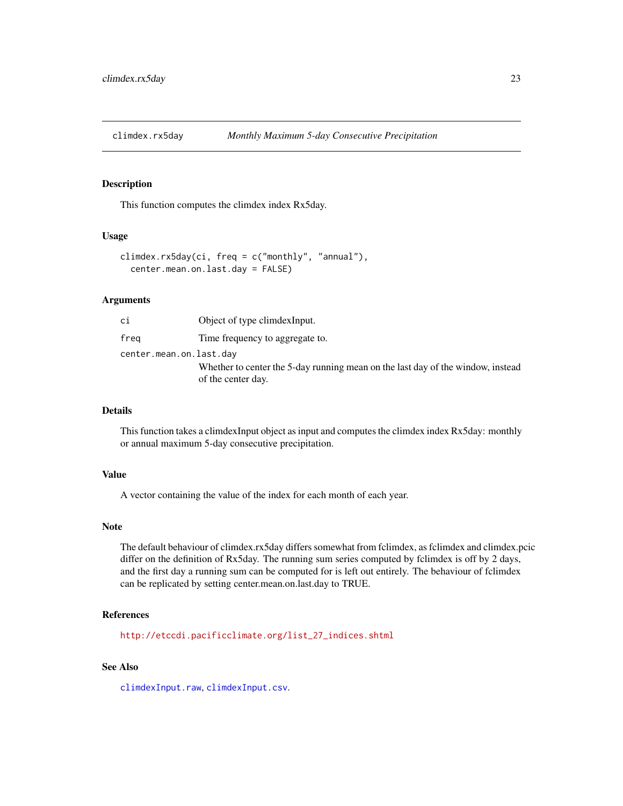<span id="page-22-0"></span>

# Description

This function computes the climdex index Rx5day.

#### Usage

```
climdex.rx5day(ci, freq = c("monthly", "annual"),
  center.mean.on.last.day = FALSE)
```
# **Arguments**

| сi                      | Object of type climdex Input.                                                   |
|-------------------------|---------------------------------------------------------------------------------|
| frea                    | Time frequency to aggregate to.                                                 |
| center.mean.on.last.day |                                                                                 |
|                         | Whether to center the 5-day running mean on the last day of the window, instead |
|                         | of the center day.                                                              |

# Details

This function takes a climdexInput object as input and computes the climdex index Rx5day: monthly or annual maximum 5-day consecutive precipitation.

# Value

A vector containing the value of the index for each month of each year.

#### Note

The default behaviour of climdex.rx5day differs somewhat from fclimdex, as fclimdex and climdex.pcic differ on the definition of Rx5day. The running sum series computed by fclimdex is off by 2 days, and the first day a running sum can be computed for is left out entirely. The behaviour of fclimdex can be replicated by setting center.mean.on.last.day to TRUE.

# References

[http://etccdi.pacificclimate.org/list\\_27\\_indices.shtml](http://etccdi.pacificclimate.org/list_27_indices.shtml)

# See Also

[climdexInput.raw](#page-42-1), [climdexInput.csv](#page-40-1).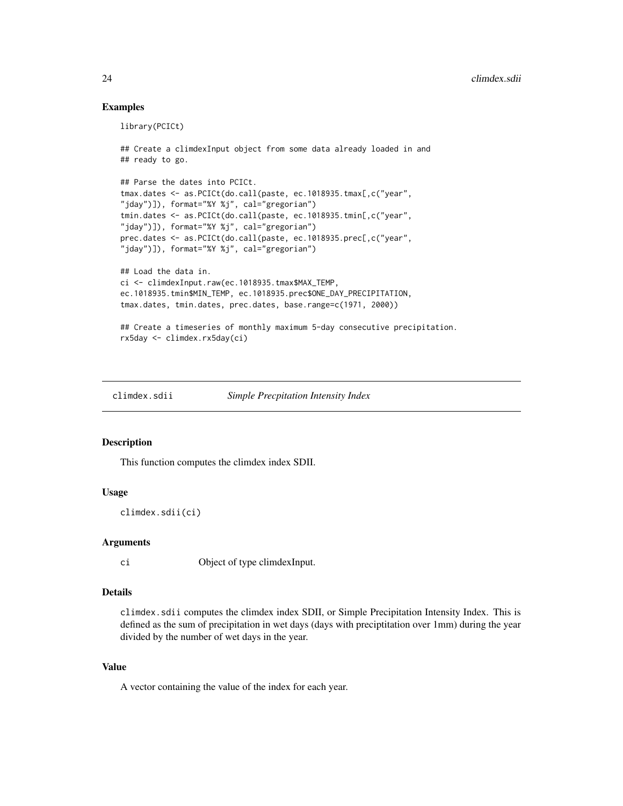# Examples

```
library(PCICt)
## Create a climdexInput object from some data already loaded in and
## ready to go.
## Parse the dates into PCICt.
tmax.dates <- as.PCICt(do.call(paste, ec.1018935.tmax[,c("year",
"jday")]), format="%Y %j", cal="gregorian")
tmin.dates <- as.PCICt(do.call(paste, ec.1018935.tmin[,c("year",
"jday")]), format="%Y %j", cal="gregorian")
prec.dates <- as.PCICt(do.call(paste, ec.1018935.prec[,c("year",
"jday")]), format="%Y %j", cal="gregorian")
## Load the data in.
ci <- climdexInput.raw(ec.1018935.tmax$MAX_TEMP,
ec.1018935.tmin$MIN_TEMP, ec.1018935.prec$ONE_DAY_PRECIPITATION,
tmax.dates, tmin.dates, prec.dates, base.range=c(1971, 2000))
## Create a timeseries of monthly maximum 5-day consecutive precipitation.
rx5day <- climdex.rx5day(ci)
```
climdex.sdii *Simple Precpitation Intensity Index*

# Description

This function computes the climdex index SDII.

# Usage

climdex.sdii(ci)

#### Arguments

ci Object of type climdexInput.

# Details

climdex.sdii computes the climdex index SDII, or Simple Precipitation Intensity Index. This is defined as the sum of precipitation in wet days (days with preciptitation over 1mm) during the year divided by the number of wet days in the year.

# Value

A vector containing the value of the index for each year.

<span id="page-23-0"></span>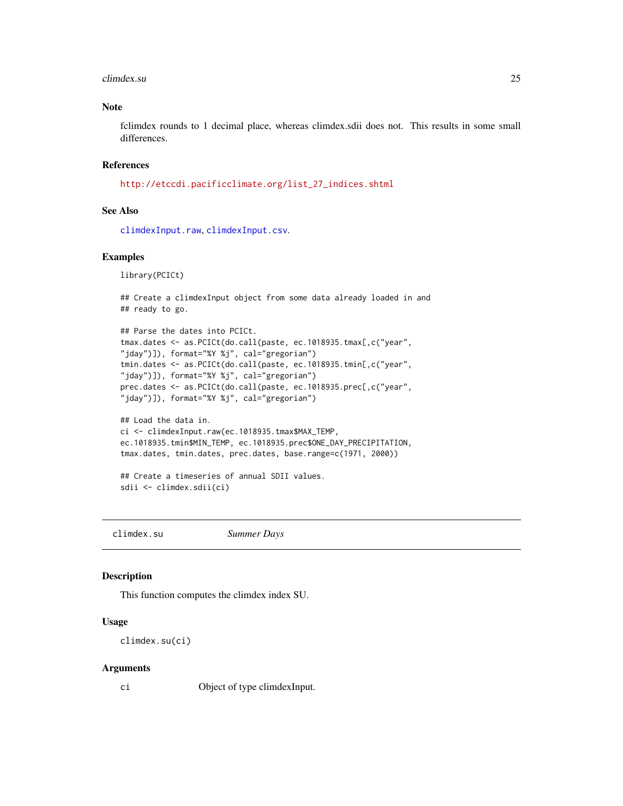#### <span id="page-24-0"></span>climdex.su 25

# Note

fclimdex rounds to 1 decimal place, whereas climdex.sdii does not. This results in some small differences.

# References

[http://etccdi.pacificclimate.org/list\\_27\\_indices.shtml](http://etccdi.pacificclimate.org/list_27_indices.shtml)

# See Also

[climdexInput.raw](#page-42-1), [climdexInput.csv](#page-40-1).

# Examples

library(PCICt)

```
## Create a climdexInput object from some data already loaded in and
## ready to go.
```

```
## Parse the dates into PCICt.
tmax.dates <- as.PCICt(do.call(paste, ec.1018935.tmax[,c("year",
"jday")]), format="%Y %j", cal="gregorian")
tmin.dates <- as.PCICt(do.call(paste, ec.1018935.tmin[,c("year",
"jday")]), format="%Y %j", cal="gregorian")
prec.dates <- as.PCICt(do.call(paste, ec.1018935.prec[,c("year",
"jday")]), format="%Y %j", cal="gregorian")
```

```
## Load the data in.
ci <- climdexInput.raw(ec.1018935.tmax$MAX_TEMP,
ec.1018935.tmin$MIN_TEMP, ec.1018935.prec$ONE_DAY_PRECIPITATION,
tmax.dates, tmin.dates, prec.dates, base.range=c(1971, 2000))
```

```
## Create a timeseries of annual SDII values.
sdii <- climdex.sdii(ci)
```
climdex.su *Summer Days*

# Description

This function computes the climdex index SU.

# Usage

```
climdex.su(ci)
```
#### Arguments

ci Object of type climdexInput.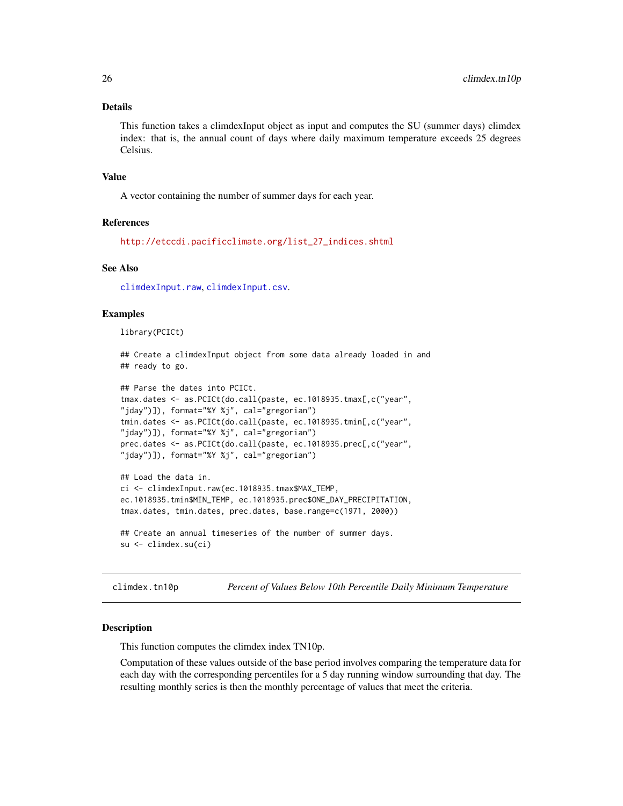#### <span id="page-25-0"></span>Details

This function takes a climdexInput object as input and computes the SU (summer days) climdex index: that is, the annual count of days where daily maximum temperature exceeds 25 degrees Celsius.

#### Value

A vector containing the number of summer days for each year.

# References

[http://etccdi.pacificclimate.org/list\\_27\\_indices.shtml](http://etccdi.pacificclimate.org/list_27_indices.shtml)

# See Also

[climdexInput.raw](#page-42-1), [climdexInput.csv](#page-40-1).

# Examples

library(PCICt)

```
## Create a climdexInput object from some data already loaded in and
## ready to go.
```

```
## Parse the dates into PCICt.
tmax.dates <- as.PCICt(do.call(paste, ec.1018935.tmax[,c("year",
"jday")]), format="%Y %j", cal="gregorian")
tmin.dates <- as.PCICt(do.call(paste, ec.1018935.tmin[,c("year",
"jday")]), format="%Y %j", cal="gregorian")
prec.dates <- as.PCICt(do.call(paste, ec.1018935.prec[,c("year",
"jday")]), format="%Y %j", cal="gregorian")
## Load the data in.
```

```
ci <- climdexInput.raw(ec.1018935.tmax$MAX_TEMP,
ec.1018935.tmin$MIN_TEMP, ec.1018935.prec$ONE_DAY_PRECIPITATION,
tmax.dates, tmin.dates, prec.dates, base.range=c(1971, 2000))
```

```
## Create an annual timeseries of the number of summer days.
su <- climdex.su(ci)
```
<span id="page-25-1"></span>climdex.tn10p *Percent of Values Below 10th Percentile Daily Minimum Temperature*

#### Description

This function computes the climdex index TN10p.

Computation of these values outside of the base period involves comparing the temperature data for each day with the corresponding percentiles for a 5 day running window surrounding that day. The resulting monthly series is then the monthly percentage of values that meet the criteria.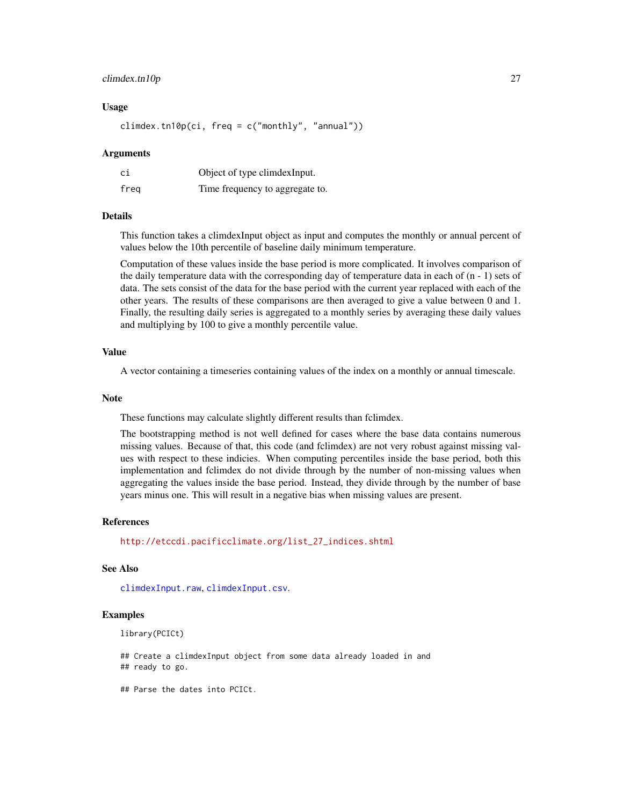# <span id="page-26-0"></span>climdex.tn10p 27

# Usage

climdex.tn10p(ci, freq =  $c("monthly", "annual"))$ 

#### Arguments

| ci   | Object of type climdexInput.    |
|------|---------------------------------|
| freg | Time frequency to aggregate to. |

#### Details

This function takes a climdexInput object as input and computes the monthly or annual percent of values below the 10th percentile of baseline daily minimum temperature.

Computation of these values inside the base period is more complicated. It involves comparison of the daily temperature data with the corresponding day of temperature data in each of  $(n - 1)$  sets of data. The sets consist of the data for the base period with the current year replaced with each of the other years. The results of these comparisons are then averaged to give a value between 0 and 1. Finally, the resulting daily series is aggregated to a monthly series by averaging these daily values and multiplying by 100 to give a monthly percentile value.

# Value

A vector containing a timeseries containing values of the index on a monthly or annual timescale.

#### **Note**

These functions may calculate slightly different results than fclimdex.

The bootstrapping method is not well defined for cases where the base data contains numerous missing values. Because of that, this code (and fclimdex) are not very robust against missing values with respect to these indicies. When computing percentiles inside the base period, both this implementation and fclimdex do not divide through by the number of non-missing values when aggregating the values inside the base period. Instead, they divide through by the number of base years minus one. This will result in a negative bias when missing values are present.

# References

[http://etccdi.pacificclimate.org/list\\_27\\_indices.shtml](http://etccdi.pacificclimate.org/list_27_indices.shtml)

# See Also

[climdexInput.raw](#page-42-1), [climdexInput.csv](#page-40-1).

#### Examples

```
library(PCICt)
```
## Create a climdexInput object from some data already loaded in and ## ready to go.

## Parse the dates into PCICt.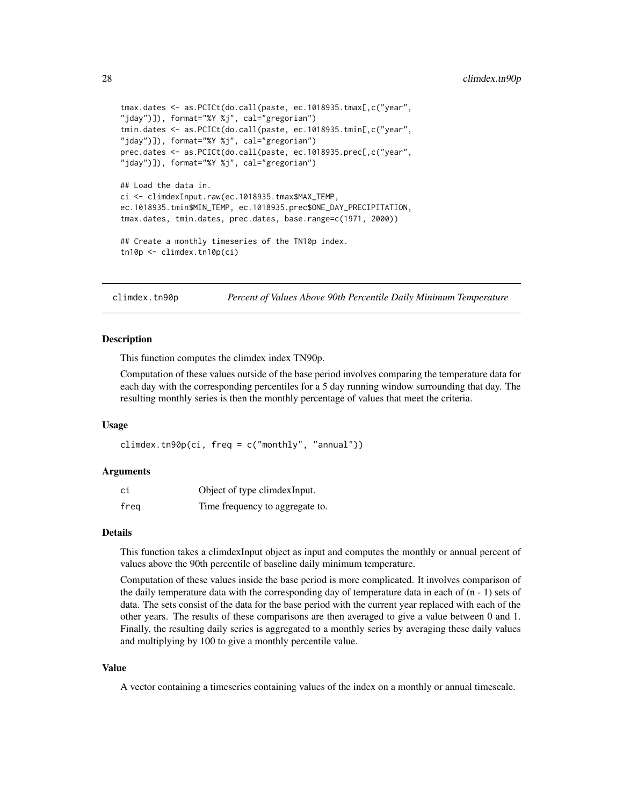```
tmax.dates <- as.PCICt(do.call(paste, ec.1018935.tmax[,c("year",
"jday")]), format="%Y %j", cal="gregorian")
tmin.dates <- as.PCICt(do.call(paste, ec.1018935.tmin[,c("year",
"jday")]), format="%Y %j", cal="gregorian")
prec.dates <- as.PCICt(do.call(paste, ec.1018935.prec[,c("year",
"jday")]), format="%Y %j", cal="gregorian")
## Load the data in.
ci <- climdexInput.raw(ec.1018935.tmax$MAX_TEMP,
ec.1018935.tmin$MIN_TEMP, ec.1018935.prec$ONE_DAY_PRECIPITATION,
tmax.dates, tmin.dates, prec.dates, base.range=c(1971, 2000))
## Create a monthly timeseries of the TN10p index.
tn10p <- climdex.tn10p(ci)
```
<span id="page-27-1"></span>climdex.tn90p *Percent of Values Above 90th Percentile Daily Minimum Temperature*

#### **Description**

This function computes the climdex index TN90p.

Computation of these values outside of the base period involves comparing the temperature data for each day with the corresponding percentiles for a 5 day running window surrounding that day. The resulting monthly series is then the monthly percentage of values that meet the criteria.

# Usage

 $climdex.tn90p(ci, freq = c("monthly", "annual"))$ 

#### Arguments

| сi   | Object of type climdexInput.    |
|------|---------------------------------|
| freg | Time frequency to aggregate to. |

# Details

This function takes a climdexInput object as input and computes the monthly or annual percent of values above the 90th percentile of baseline daily minimum temperature.

Computation of these values inside the base period is more complicated. It involves comparison of the daily temperature data with the corresponding day of temperature data in each of (n - 1) sets of data. The sets consist of the data for the base period with the current year replaced with each of the other years. The results of these comparisons are then averaged to give a value between 0 and 1. Finally, the resulting daily series is aggregated to a monthly series by averaging these daily values and multiplying by 100 to give a monthly percentile value.

# Value

A vector containing a timeseries containing values of the index on a monthly or annual timescale.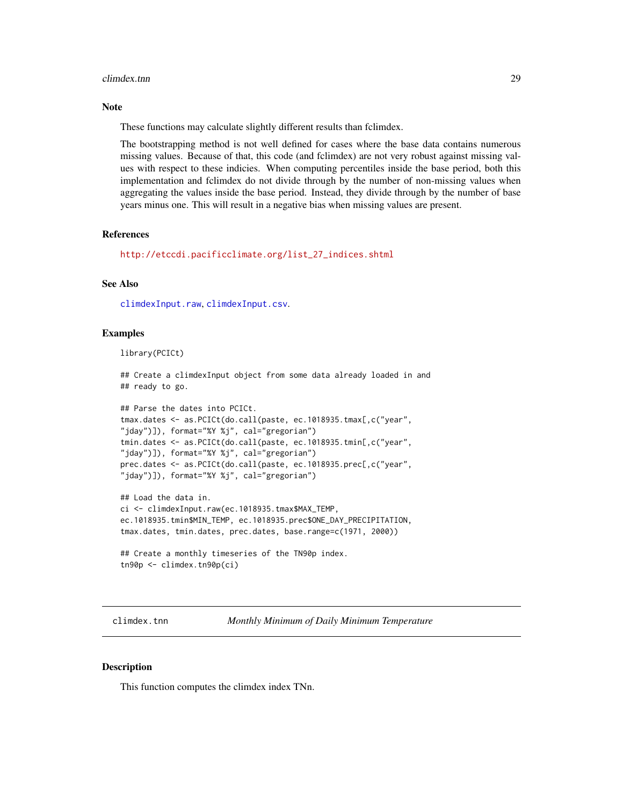#### <span id="page-28-0"></span>climdex.tnn 29

# Note

These functions may calculate slightly different results than fclimdex.

The bootstrapping method is not well defined for cases where the base data contains numerous missing values. Because of that, this code (and fclimdex) are not very robust against missing values with respect to these indicies. When computing percentiles inside the base period, both this implementation and fclimdex do not divide through by the number of non-missing values when aggregating the values inside the base period. Instead, they divide through by the number of base years minus one. This will result in a negative bias when missing values are present.

# References

[http://etccdi.pacificclimate.org/list\\_27\\_indices.shtml](http://etccdi.pacificclimate.org/list_27_indices.shtml)

# See Also

[climdexInput.raw](#page-42-1), [climdexInput.csv](#page-40-1).

# Examples

library(PCICt)

## Create a climdexInput object from some data already loaded in and ## ready to go.

```
## Parse the dates into PCICt.
tmax.dates <- as.PCICt(do.call(paste, ec.1018935.tmax[,c("year",
"jday")]), format="%Y %j", cal="gregorian")
tmin.dates <- as.PCICt(do.call(paste, ec.1018935.tmin[,c("year",
"jday")]), format="%Y %j", cal="gregorian")
prec.dates <- as.PCICt(do.call(paste, ec.1018935.prec[,c("year",
"jday")]), format="%Y %j", cal="gregorian")
```

```
## Load the data in.
ci <- climdexInput.raw(ec.1018935.tmax$MAX_TEMP,
ec.1018935.tmin$MIN_TEMP, ec.1018935.prec$ONE_DAY_PRECIPITATION,
tmax.dates, tmin.dates, prec.dates, base.range=c(1971, 2000))
```

```
## Create a monthly timeseries of the TN90p index.
tn90p <- climdex.tn90p(ci)
```
climdex.tnn *Monthly Minimum of Daily Minimum Temperature*

# Description

This function computes the climdex index TNn.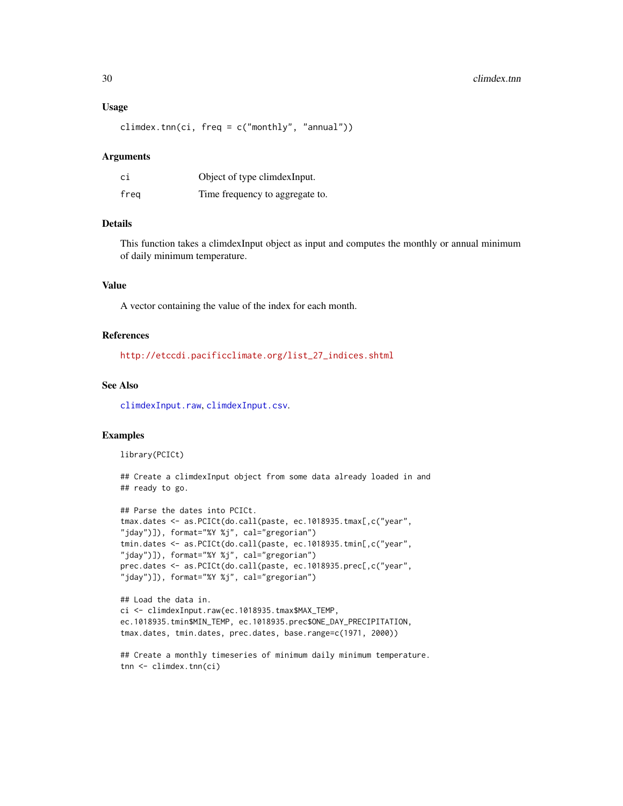#### Usage

climdex.tnn(ci,  $freq = c("monthly", "annual"))$ 

#### Arguments

| сi   | Object of type climdex Input.   |
|------|---------------------------------|
| freg | Time frequency to aggregate to. |

# Details

This function takes a climdexInput object as input and computes the monthly or annual minimum of daily minimum temperature.

# Value

A vector containing the value of the index for each month.

# References

[http://etccdi.pacificclimate.org/list\\_27\\_indices.shtml](http://etccdi.pacificclimate.org/list_27_indices.shtml)

# See Also

[climdexInput.raw](#page-42-1), [climdexInput.csv](#page-40-1).

# Examples

library(PCICt)

## Create a climdexInput object from some data already loaded in and ## ready to go.

```
## Parse the dates into PCICt.
tmax.dates <- as.PCICt(do.call(paste, ec.1018935.tmax[,c("year",
"jday")]), format="%Y %j", cal="gregorian")
tmin.dates <- as.PCICt(do.call(paste, ec.1018935.tmin[,c("year",
"jday")]), format="%Y %j", cal="gregorian")
prec.dates <- as.PCICt(do.call(paste, ec.1018935.prec[,c("year",
"jday")]), format="%Y %j", cal="gregorian")
```

```
## Load the data in.
ci <- climdexInput.raw(ec.1018935.tmax$MAX_TEMP,
ec.1018935.tmin$MIN_TEMP, ec.1018935.prec$ONE_DAY_PRECIPITATION,
tmax.dates, tmin.dates, prec.dates, base.range=c(1971, 2000))
```

```
## Create a monthly timeseries of minimum daily minimum temperature.
tnn <- climdex.tnn(ci)
```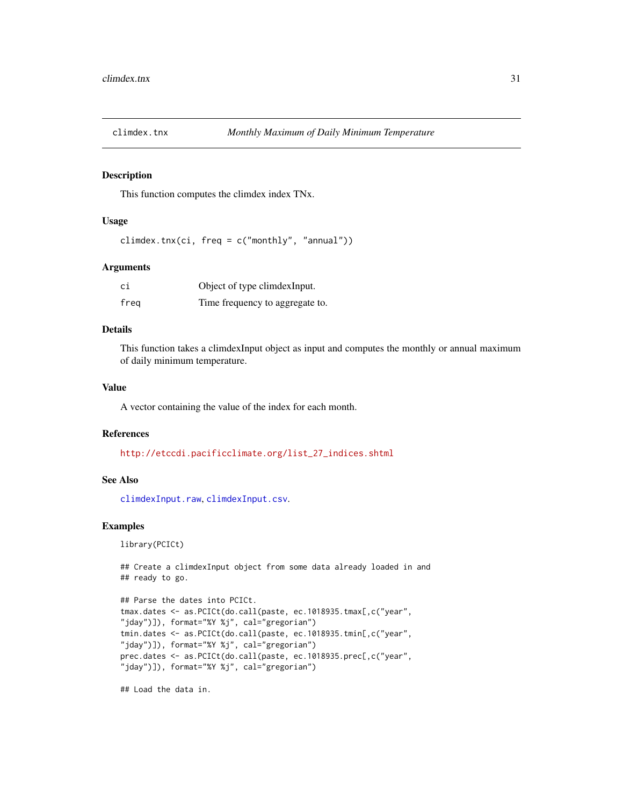<span id="page-30-0"></span>

# Description

This function computes the climdex index TNx.

#### Usage

```
climdex.tnx(ci, freq = c("monthly", "annual"))
```
# **Arguments**

| сi   | Object of type climdexInput.    |
|------|---------------------------------|
| freg | Time frequency to aggregate to. |

# Details

This function takes a climdexInput object as input and computes the monthly or annual maximum of daily minimum temperature.

# Value

A vector containing the value of the index for each month.

# References

[http://etccdi.pacificclimate.org/list\\_27\\_indices.shtml](http://etccdi.pacificclimate.org/list_27_indices.shtml)

# See Also

[climdexInput.raw](#page-42-1), [climdexInput.csv](#page-40-1).

# Examples

library(PCICt)

```
## Create a climdexInput object from some data already loaded in and
## ready to go.
```

```
## Parse the dates into PCICt.
tmax.dates <- as.PCICt(do.call(paste, ec.1018935.tmax[,c("year",
"jday")]), format="%Y %j", cal="gregorian")
tmin.dates <- as.PCICt(do.call(paste, ec.1018935.tmin[,c("year",
"jday")]), format="%Y %j", cal="gregorian")
prec.dates <- as.PCICt(do.call(paste, ec.1018935.prec[,c("year",
"jday")]), format="%Y %j", cal="gregorian")
```
## Load the data in.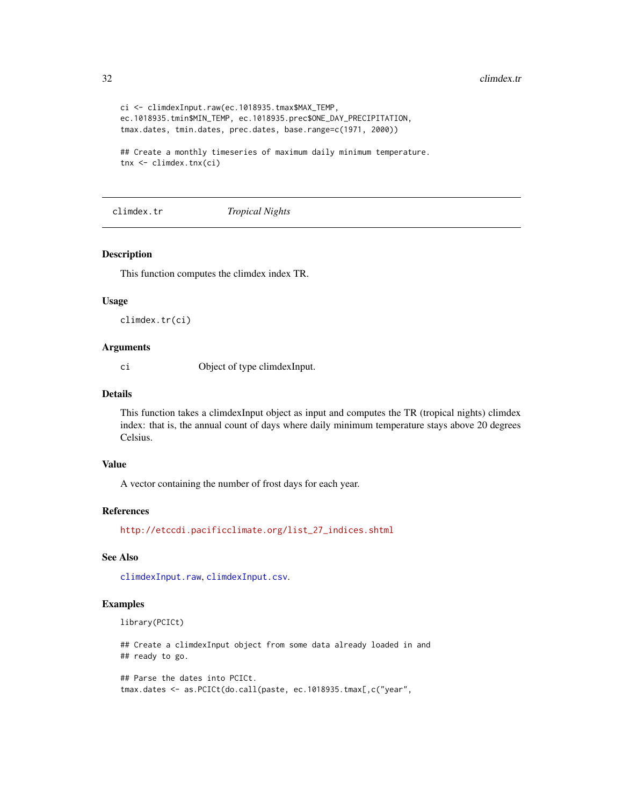```
ci <- climdexInput.raw(ec.1018935.tmax$MAX_TEMP,
ec.1018935.tmin$MIN_TEMP, ec.1018935.prec$ONE_DAY_PRECIPITATION,
tmax.dates, tmin.dates, prec.dates, base.range=c(1971, 2000))
## Create a monthly timeseries of maximum daily minimum temperature.
tnx <- climdex.tnx(ci)
```
climdex.tr *Tropical Nights*

#### Description

This function computes the climdex index TR.

# Usage

climdex.tr(ci)

# Arguments

ci Object of type climdexInput.

# Details

This function takes a climdexInput object as input and computes the TR (tropical nights) climdex index: that is, the annual count of days where daily minimum temperature stays above 20 degrees Celsius.

#### Value

A vector containing the number of frost days for each year.

# References

[http://etccdi.pacificclimate.org/list\\_27\\_indices.shtml](http://etccdi.pacificclimate.org/list_27_indices.shtml)

# See Also

[climdexInput.raw](#page-42-1), [climdexInput.csv](#page-40-1).

# Examples

library(PCICt)

## Create a climdexInput object from some data already loaded in and ## ready to go.

## Parse the dates into PCICt. tmax.dates <- as.PCICt(do.call(paste, ec.1018935.tmax[,c("year",

<span id="page-31-0"></span>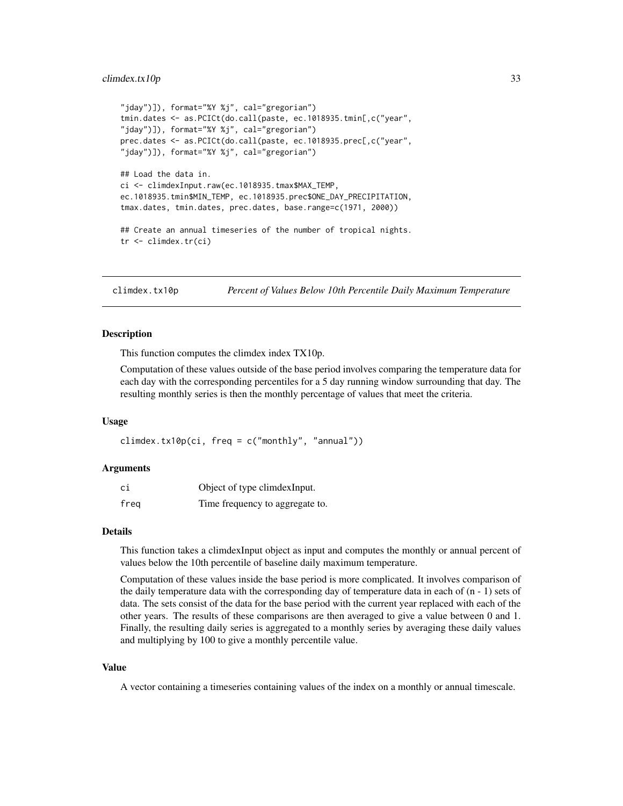#### <span id="page-32-0"></span>climdex.tx10p 33

```
"jday")]), format="%Y %j", cal="gregorian")
tmin.dates <- as.PCICt(do.call(paste, ec.1018935.tmin[,c("year",
"jday")]), format="%Y %j", cal="gregorian")
prec.dates <- as.PCICt(do.call(paste, ec.1018935.prec[,c("year",
"jday")]), format="%Y %j", cal="gregorian")
## Load the data in.
ci <- climdexInput.raw(ec.1018935.tmax$MAX_TEMP,
ec.1018935.tmin$MIN_TEMP, ec.1018935.prec$ONE_DAY_PRECIPITATION,
tmax.dates, tmin.dates, prec.dates, base.range=c(1971, 2000))
## Create an annual timeseries of the number of tropical nights.
tr <- climdex.tr(ci)
```
<span id="page-32-1"></span>climdex.tx10p *Percent of Values Below 10th Percentile Daily Maximum Temperature*

# Description

This function computes the climdex index TX10p.

Computation of these values outside of the base period involves comparing the temperature data for each day with the corresponding percentiles for a 5 day running window surrounding that day. The resulting monthly series is then the monthly percentage of values that meet the criteria.

#### Usage

 $climdex.tx10p(ci, freq = c("monthly", "annual"))$ 

#### Arguments

| сi   | Object of type climdexInput.    |
|------|---------------------------------|
| freq | Time frequency to aggregate to. |

#### Details

This function takes a climdexInput object as input and computes the monthly or annual percent of values below the 10th percentile of baseline daily maximum temperature.

Computation of these values inside the base period is more complicated. It involves comparison of the daily temperature data with the corresponding day of temperature data in each of  $(n - 1)$  sets of data. The sets consist of the data for the base period with the current year replaced with each of the other years. The results of these comparisons are then averaged to give a value between 0 and 1. Finally, the resulting daily series is aggregated to a monthly series by averaging these daily values and multiplying by 100 to give a monthly percentile value.

# Value

A vector containing a timeseries containing values of the index on a monthly or annual timescale.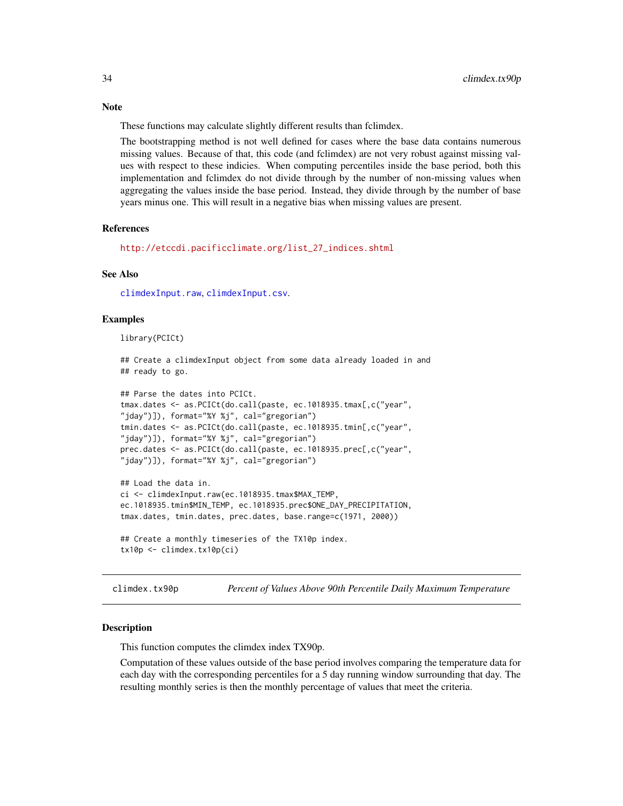These functions may calculate slightly different results than fclimdex.

The bootstrapping method is not well defined for cases where the base data contains numerous missing values. Because of that, this code (and fclimdex) are not very robust against missing values with respect to these indicies. When computing percentiles inside the base period, both this implementation and fclimdex do not divide through by the number of non-missing values when aggregating the values inside the base period. Instead, they divide through by the number of base years minus one. This will result in a negative bias when missing values are present.

# References

[http://etccdi.pacificclimate.org/list\\_27\\_indices.shtml](http://etccdi.pacificclimate.org/list_27_indices.shtml)

# See Also

[climdexInput.raw](#page-42-1), [climdexInput.csv](#page-40-1).

#### Examples

library(PCICt)

```
## Create a climdexInput object from some data already loaded in and
## ready to go.
```

```
## Parse the dates into PCICt.
tmax.dates <- as.PCICt(do.call(paste, ec.1018935.tmax[,c("year",
"jday")]), format="%Y %j", cal="gregorian")
tmin.dates <- as.PCICt(do.call(paste, ec.1018935.tmin[,c("year",
"jday")]), format="%Y %j", cal="gregorian")
prec.dates <- as.PCICt(do.call(paste, ec.1018935.prec[,c("year",
"jday")]), format="%Y %j", cal="gregorian")
```

```
## Load the data in.
ci <- climdexInput.raw(ec.1018935.tmax$MAX_TEMP,
ec.1018935.tmin$MIN_TEMP, ec.1018935.prec$ONE_DAY_PRECIPITATION,
tmax.dates, tmin.dates, prec.dates, base.range=c(1971, 2000))
```

```
## Create a monthly timeseries of the TX10p index.
tx10p <- climdex.tx10p(ci)
```
<span id="page-33-1"></span>climdex.tx90p *Percent of Values Above 90th Percentile Daily Maximum Temperature*

# **Description**

This function computes the climdex index TX90p.

Computation of these values outside of the base period involves comparing the temperature data for each day with the corresponding percentiles for a 5 day running window surrounding that day. The resulting monthly series is then the monthly percentage of values that meet the criteria.

<span id="page-33-0"></span>

#### **Note**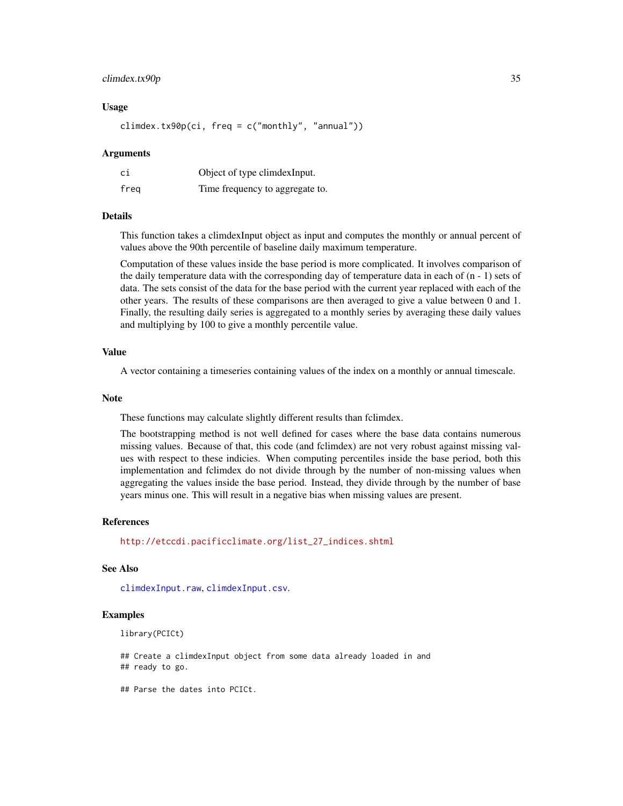# climdex.tx90p 35

# Usage

climdex.tx90p(ci, freq =  $c("monthly", "annual"))$ 

#### Arguments

| сi   | Object of type climdex Input.   |
|------|---------------------------------|
| freg | Time frequency to aggregate to. |

#### Details

This function takes a climdexInput object as input and computes the monthly or annual percent of values above the 90th percentile of baseline daily maximum temperature.

Computation of these values inside the base period is more complicated. It involves comparison of the daily temperature data with the corresponding day of temperature data in each of  $(n - 1)$  sets of data. The sets consist of the data for the base period with the current year replaced with each of the other years. The results of these comparisons are then averaged to give a value between 0 and 1. Finally, the resulting daily series is aggregated to a monthly series by averaging these daily values and multiplying by 100 to give a monthly percentile value.

# Value

A vector containing a timeseries containing values of the index on a monthly or annual timescale.

#### **Note**

These functions may calculate slightly different results than fclimdex.

The bootstrapping method is not well defined for cases where the base data contains numerous missing values. Because of that, this code (and fclimdex) are not very robust against missing values with respect to these indicies. When computing percentiles inside the base period, both this implementation and fclimdex do not divide through by the number of non-missing values when aggregating the values inside the base period. Instead, they divide through by the number of base years minus one. This will result in a negative bias when missing values are present.

# References

[http://etccdi.pacificclimate.org/list\\_27\\_indices.shtml](http://etccdi.pacificclimate.org/list_27_indices.shtml)

# See Also

[climdexInput.raw](#page-42-1), [climdexInput.csv](#page-40-1).

#### Examples

```
library(PCICt)
```
## Create a climdexInput object from some data already loaded in and ## ready to go.

## Parse the dates into PCICt.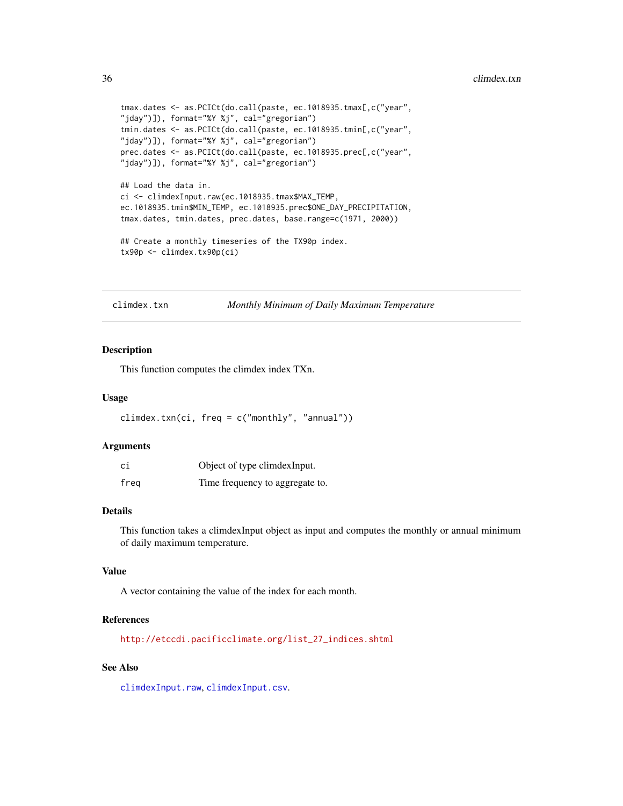```
tmax.dates <- as.PCICt(do.call(paste, ec.1018935.tmax[,c("year",
"jday")]), format="%Y %j", cal="gregorian")
tmin.dates <- as.PCICt(do.call(paste, ec.1018935.tmin[,c("year",
"jday")]), format="%Y %j", cal="gregorian")
prec.dates <- as.PCICt(do.call(paste, ec.1018935.prec[,c("year",
"jday")]), format="%Y %j", cal="gregorian")
## Load the data in.
ci <- climdexInput.raw(ec.1018935.tmax$MAX_TEMP,
ec.1018935.tmin$MIN_TEMP, ec.1018935.prec$ONE_DAY_PRECIPITATION,
tmax.dates, tmin.dates, prec.dates, base.range=c(1971, 2000))
## Create a monthly timeseries of the TX90p index.
tx90p <- climdex.tx90p(ci)
```
climdex.txn *Monthly Minimum of Daily Maximum Temperature*

#### Description

This function computes the climdex index TXn.

# Usage

```
climdex.txn(ci, freq = c("monthly", "annual"))
```
#### Arguments

| сi   | Object of type climdex Input.   |
|------|---------------------------------|
| freg | Time frequency to aggregate to. |

# Details

This function takes a climdexInput object as input and computes the monthly or annual minimum of daily maximum temperature.

#### Value

A vector containing the value of the index for each month.

#### References

[http://etccdi.pacificclimate.org/list\\_27\\_indices.shtml](http://etccdi.pacificclimate.org/list_27_indices.shtml)

# See Also

[climdexInput.raw](#page-42-1), [climdexInput.csv](#page-40-1).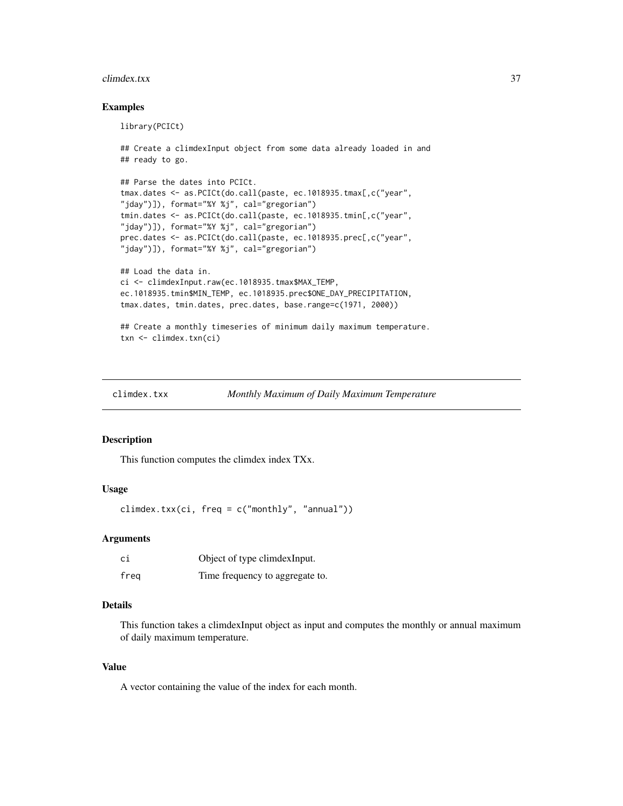#### <span id="page-36-0"></span>climdex.txx 37

# Examples

library(PCICt)

```
## Create a climdexInput object from some data already loaded in and
## ready to go.
## Parse the dates into PCICt.
tmax.dates <- as.PCICt(do.call(paste, ec.1018935.tmax[,c("year",
"jday")]), format="%Y %j", cal="gregorian")
tmin.dates <- as.PCICt(do.call(paste, ec.1018935.tmin[,c("year",
"jday")]), format="%Y %j", cal="gregorian")
prec.dates <- as.PCICt(do.call(paste, ec.1018935.prec[,c("year",
"jday")]), format="%Y %j", cal="gregorian")
## Load the data in.
ci <- climdexInput.raw(ec.1018935.tmax$MAX_TEMP,
ec.1018935.tmin$MIN_TEMP, ec.1018935.prec$ONE_DAY_PRECIPITATION,
tmax.dates, tmin.dates, prec.dates, base.range=c(1971, 2000))
## Create a monthly timeseries of minimum daily maximum temperature.
txn <- climdex.txn(ci)
```
climdex.txx *Monthly Maximum of Daily Maximum Temperature*

#### Description

This function computes the climdex index TXx.

# Usage

climdex.txx(ci, freq = c("monthly", "annual"))

#### Arguments

| ci   | Object of type climdex Input.   |
|------|---------------------------------|
| freg | Time frequency to aggregate to. |

# Details

This function takes a climdexInput object as input and computes the monthly or annual maximum of daily maximum temperature.

# Value

A vector containing the value of the index for each month.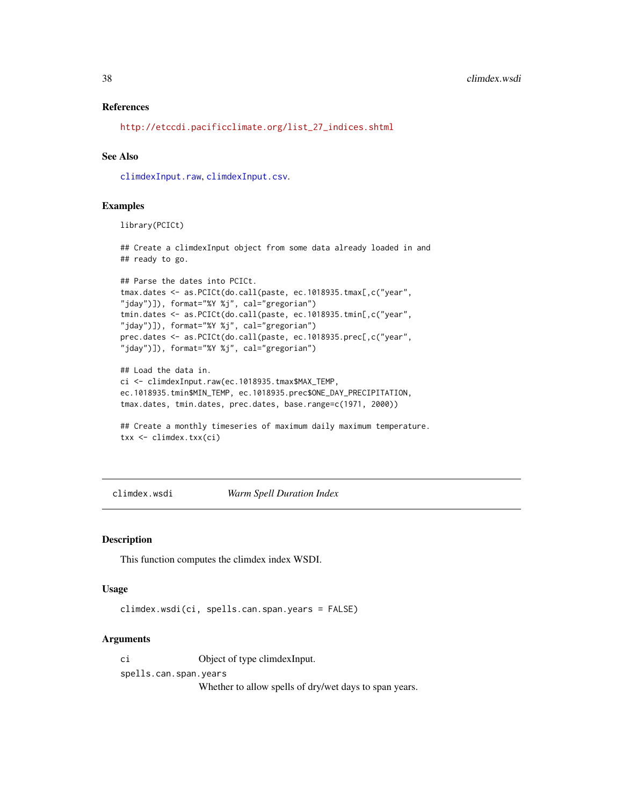# <span id="page-37-0"></span>References

[http://etccdi.pacificclimate.org/list\\_27\\_indices.shtml](http://etccdi.pacificclimate.org/list_27_indices.shtml)

# See Also

[climdexInput.raw](#page-42-1), [climdexInput.csv](#page-40-1).

#### Examples

library(PCICt)

## Create a climdexInput object from some data already loaded in and ## ready to go.

```
## Parse the dates into PCICt.
tmax.dates <- as.PCICt(do.call(paste, ec.1018935.tmax[,c("year",
"jday")]), format="%Y %j", cal="gregorian")
tmin.dates <- as.PCICt(do.call(paste, ec.1018935.tmin[,c("year",
"jday")]), format="%Y %j", cal="gregorian")
prec.dates <- as.PCICt(do.call(paste, ec.1018935.prec[,c("year",
"jday")]), format="%Y %j", cal="gregorian")
```

```
## Load the data in.
ci <- climdexInput.raw(ec.1018935.tmax$MAX_TEMP,
ec.1018935.tmin$MIN_TEMP, ec.1018935.prec$ONE_DAY_PRECIPITATION,
tmax.dates, tmin.dates, prec.dates, base.range=c(1971, 2000))
```

```
## Create a monthly timeseries of maximum daily maximum temperature.
txx <- climdex.txx(ci)
```
<span id="page-37-1"></span>climdex.wsdi *Warm Spell Duration Index*

#### Description

This function computes the climdex index WSDI.

# Usage

climdex.wsdi(ci, spells.can.span.years = FALSE)

# Arguments

ci Object of type climdexInput.

spells.can.span.years

Whether to allow spells of dry/wet days to span years.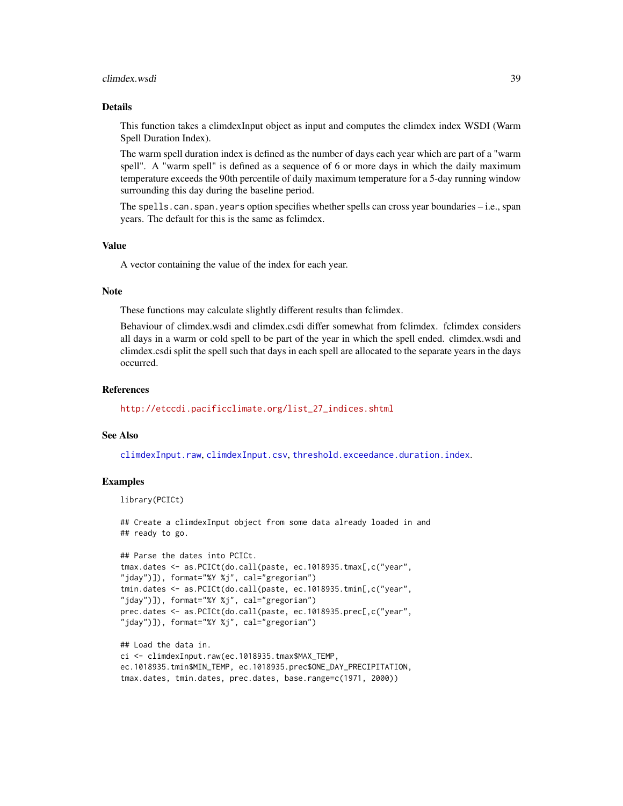#### <span id="page-38-0"></span>climdex.wsdi 39

# Details

This function takes a climdexInput object as input and computes the climdex index WSDI (Warm Spell Duration Index).

The warm spell duration index is defined as the number of days each year which are part of a "warm spell". A "warm spell" is defined as a sequence of 6 or more days in which the daily maximum temperature exceeds the 90th percentile of daily maximum temperature for a 5-day running window surrounding this day during the baseline period.

The spells.can.span.years option specifies whether spells can cross year boundaries – i.e., span years. The default for this is the same as fclimdex.

# Value

A vector containing the value of the index for each year.

# **Note**

These functions may calculate slightly different results than fclimdex.

Behaviour of climdex.wsdi and climdex.csdi differ somewhat from fclimdex. fclimdex considers all days in a warm or cold spell to be part of the year in which the spell ended. climdex.wsdi and climdex.csdi split the spell such that days in each spell are allocated to the separate years in the days occurred.

#### References

[http://etccdi.pacificclimate.org/list\\_27\\_indices.shtml](http://etccdi.pacificclimate.org/list_27_indices.shtml)

# See Also

[climdexInput.raw](#page-42-1), [climdexInput.csv](#page-40-1), [threshold.exceedance.duration.index](#page-57-1).

# Examples

```
library(PCICt)
```
## Create a climdexInput object from some data already loaded in and ## ready to go.

```
## Parse the dates into PCICt.
tmax.dates <- as.PCICt(do.call(paste, ec.1018935.tmax[,c("year",
"jday")]), format="%Y %j", cal="gregorian")
tmin.dates <- as.PCICt(do.call(paste, ec.1018935.tmin[,c("year",
"jday")]), format="%Y %j", cal="gregorian")
prec.dates <- as.PCICt(do.call(paste, ec.1018935.prec[,c("year",
"jday")]), format="%Y %j", cal="gregorian")
```

```
## Load the data in.
ci <- climdexInput.raw(ec.1018935.tmax$MAX_TEMP,
ec.1018935.tmin$MIN_TEMP, ec.1018935.prec$ONE_DAY_PRECIPITATION,
tmax.dates, tmin.dates, prec.dates, base.range=c(1971, 2000))
```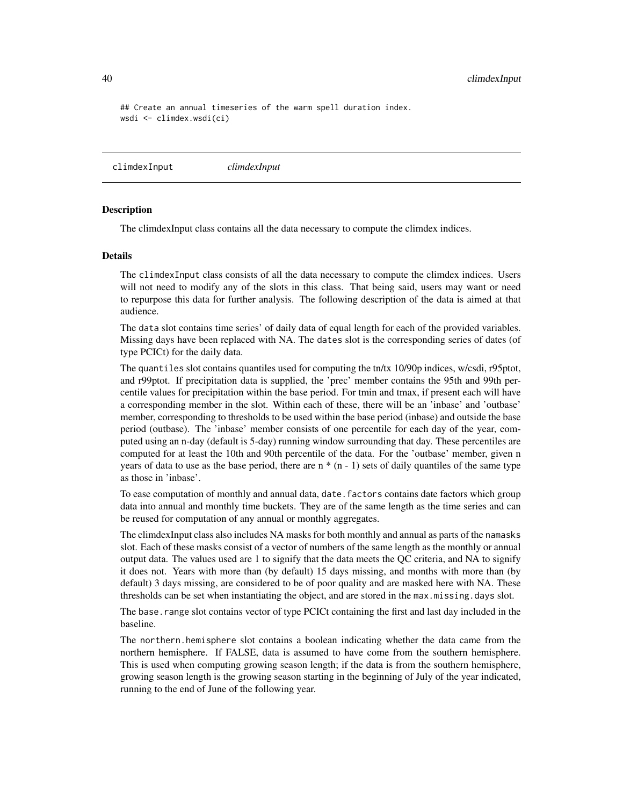## Create an annual timeseries of the warm spell duration index. wsdi <- climdex.wsdi(ci)

climdexInput *climdexInput*

# <span id="page-39-1"></span>**Description**

The climdexInput class contains all the data necessary to compute the climdex indices.

#### Details

The climdexInput class consists of all the data necessary to compute the climdex indices. Users will not need to modify any of the slots in this class. That being said, users may want or need to repurpose this data for further analysis. The following description of the data is aimed at that audience.

The data slot contains time series' of daily data of equal length for each of the provided variables. Missing days have been replaced with NA. The dates slot is the corresponding series of dates (of type PCICt) for the daily data.

The quantiles slot contains quantiles used for computing the tn/tx 10/90p indices, w/csdi, r95ptot, and r99ptot. If precipitation data is supplied, the 'prec' member contains the 95th and 99th percentile values for precipitation within the base period. For tmin and tmax, if present each will have a corresponding member in the slot. Within each of these, there will be an 'inbase' and 'outbase' member, corresponding to thresholds to be used within the base period (inbase) and outside the base period (outbase). The 'inbase' member consists of one percentile for each day of the year, computed using an n-day (default is 5-day) running window surrounding that day. These percentiles are computed for at least the 10th and 90th percentile of the data. For the 'outbase' member, given n years of data to use as the base period, there are  $n * (n - 1)$  sets of daily quantiles of the same type as those in 'inbase'.

To ease computation of monthly and annual data, date.factors contains date factors which group data into annual and monthly time buckets. They are of the same length as the time series and can be reused for computation of any annual or monthly aggregates.

The climdexInput class also includes NA masks for both monthly and annual as parts of the namasks slot. Each of these masks consist of a vector of numbers of the same length as the monthly or annual output data. The values used are 1 to signify that the data meets the QC criteria, and NA to signify it does not. Years with more than (by default) 15 days missing, and months with more than (by default) 3 days missing, are considered to be of poor quality and are masked here with NA. These thresholds can be set when instantiating the object, and are stored in the max.missing.days slot.

The base, range slot contains vector of type PCICt containing the first and last day included in the baseline.

The northern.hemisphere slot contains a boolean indicating whether the data came from the northern hemisphere. If FALSE, data is assumed to have come from the southern hemisphere. This is used when computing growing season length; if the data is from the southern hemisphere, growing season length is the growing season starting in the beginning of July of the year indicated, running to the end of June of the following year.

<span id="page-39-0"></span>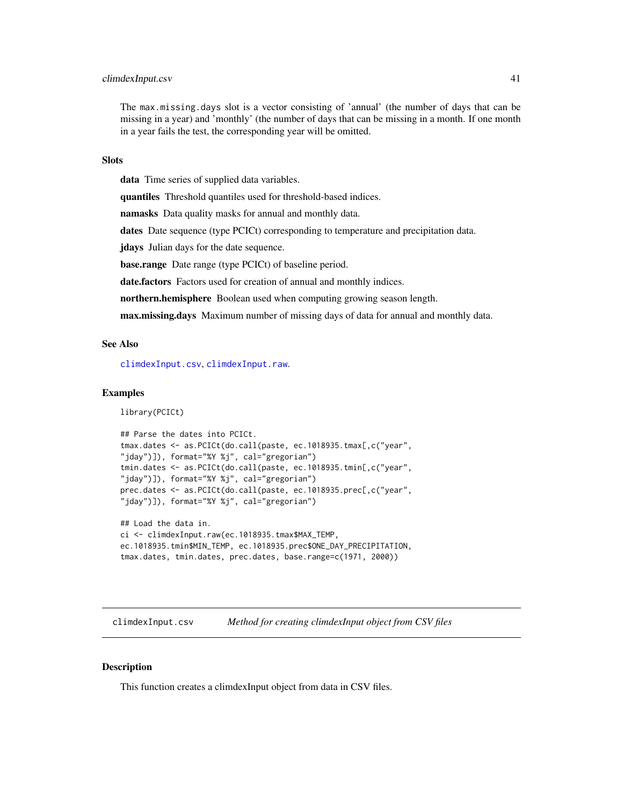# <span id="page-40-0"></span>climdexInput.csv 41

The max.missing.days slot is a vector consisting of 'annual' (the number of days that can be missing in a year) and 'monthly' (the number of days that can be missing in a month. If one month in a year fails the test, the corresponding year will be omitted.

#### **Slots**

data Time series of supplied data variables.

quantiles Threshold quantiles used for threshold-based indices.

namasks Data quality masks for annual and monthly data.

dates Date sequence (type PCICt) corresponding to temperature and precipitation data.

jdays Julian days for the date sequence.

base.range Date range (type PCICt) of baseline period.

date.factors Factors used for creation of annual and monthly indices.

northern.hemisphere Boolean used when computing growing season length.

max.missing.days Maximum number of missing days of data for annual and monthly data.

# See Also

[climdexInput.csv](#page-40-1), [climdexInput.raw](#page-42-1).

# Examples

library(PCICt)

```
## Parse the dates into PCICt.
tmax.dates <- as.PCICt(do.call(paste, ec.1018935.tmax[,c("year",
"jday")]), format="%Y %j", cal="gregorian")
tmin.dates <- as.PCICt(do.call(paste, ec.1018935.tmin[,c("year",
"jday")]), format="%Y %j", cal="gregorian")
prec.dates <- as.PCICt(do.call(paste, ec.1018935.prec[,c("year",
"jday")]), format="%Y %j", cal="gregorian")
```

```
## Load the data in.
ci <- climdexInput.raw(ec.1018935.tmax$MAX_TEMP,
ec.1018935.tmin$MIN_TEMP, ec.1018935.prec$ONE_DAY_PRECIPITATION,
tmax.dates, tmin.dates, prec.dates, base.range=c(1971, 2000))
```
<span id="page-40-1"></span>climdexInput.csv *Method for creating climdexInput object from CSV files*

# Description

This function creates a climdexInput object from data in CSV files.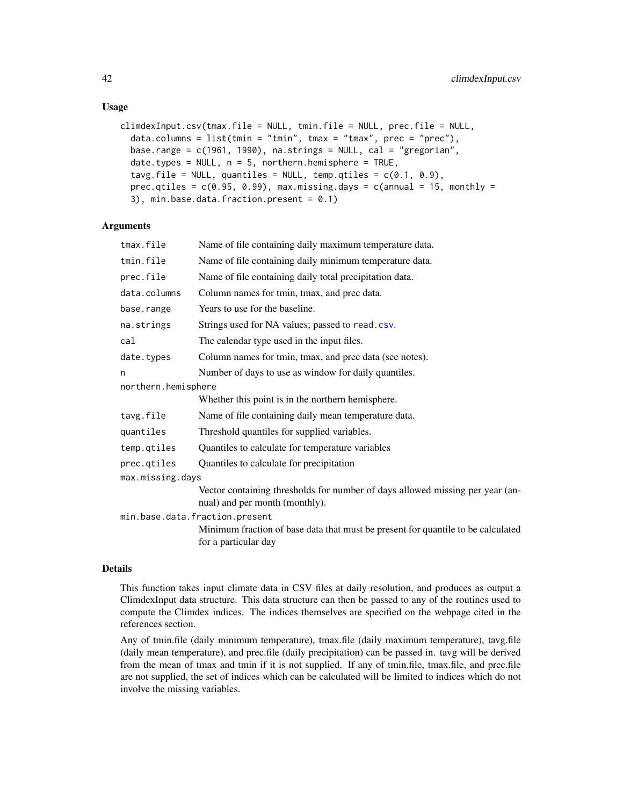# Usage

```
climdexInput.csv(tmax.file = NULL, tmin.file = NULL, prec.file = NULL,
  data.columns = list(tmin = "tmin", tmax = "tmax", prec = "prec"),
 base.range = c(1961, 1990), na.strings = NULL, cal = "gregorian",
  date.types = NULL, n = 5, northern.hemisphere = TRUE,tavg.file = NULL, quantiles = NULL, temp.qtiles = c(0.1, 0.9),
 prec.qtiles = c(0.95, 0.99), max.missing.days = c(annual = 15, monthly =
  3), min.base.data.fraction.present = 0.1)
```
# **Arguments**

| tmax.file           | Name of file containing daily maximum temperature data.                                                         |
|---------------------|-----------------------------------------------------------------------------------------------------------------|
| tmin.file           | Name of file containing daily minimum temperature data.                                                         |
| prec.file           | Name of file containing daily total precipitation data.                                                         |
| data.columns        | Column names for tmin, tmax, and prec data.                                                                     |
| base.range          | Years to use for the baseline.                                                                                  |
| na.strings          | Strings used for NA values; passed to read.csv.                                                                 |
| cal                 | The calendar type used in the input files.                                                                      |
| date.types          | Column names for tmin, tmax, and prec data (see notes).                                                         |
| n                   | Number of days to use as window for daily quantiles.                                                            |
| northern.hemisphere |                                                                                                                 |
|                     | Whether this point is in the northern hemisphere.                                                               |
| tavg.file           | Name of file containing daily mean temperature data.                                                            |
| quantiles           | Threshold quantiles for supplied variables.                                                                     |
| temp.qtiles         | Quantiles to calculate for temperature variables                                                                |
| prec.qtiles         | Quantiles to calculate for precipitation                                                                        |
| max.missing.days    |                                                                                                                 |
|                     | Vector containing thresholds for number of days allowed missing per year (an-<br>nual) and per month (monthly). |
|                     | min.base.data.fraction.present                                                                                  |
|                     | Minimum fraction of base data that must be present for quantile to be calculated<br>for a particular day        |

#### Details

This function takes input climate data in CSV files at daily resolution, and produces as output a ClimdexInput data structure. This data structure can then be passed to any of the routines used to compute the Climdex indices. The indices themselves are specified on the webpage cited in the references section.

Any of tmin.file (daily minimum temperature), tmax.file (daily maximum temperature), tavg.file (daily mean temperature), and prec.file (daily precipitation) can be passed in. tavg will be derived from the mean of tmax and tmin if it is not supplied. If any of tmin.file, tmax.file, and prec.file are not supplied, the set of indices which can be calculated will be limited to indices which do not involve the missing variables.

<span id="page-41-0"></span>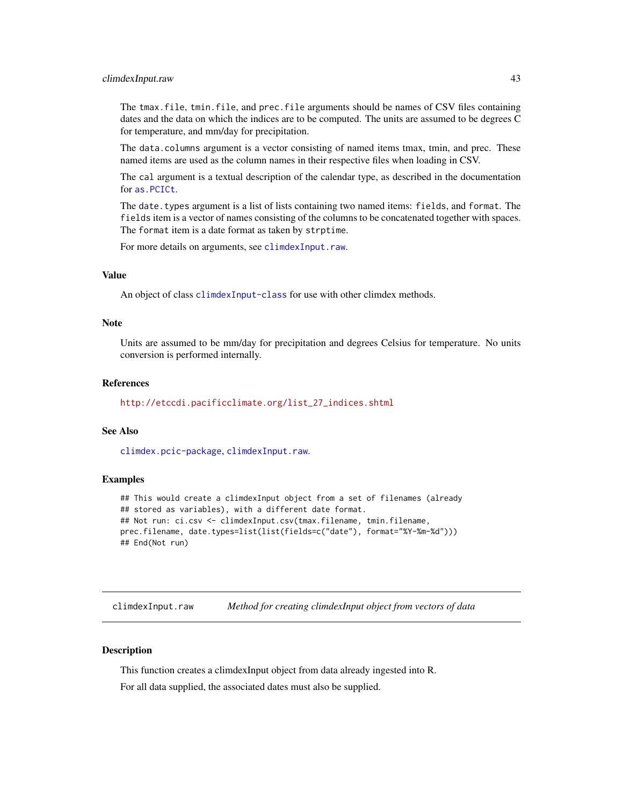#### <span id="page-42-0"></span>climdexInput.raw 43

The tmax.file, tmin.file, and prec.file arguments should be names of CSV files containing dates and the data on which the indices are to be computed. The units are assumed to be degrees C for temperature, and mm/day for precipitation.

The data.columns argument is a vector consisting of named items tmax, tmin, and prec. These named items are used as the column names in their respective files when loading in CSV.

The cal argument is a textual description of the calendar type, as described in the documentation for [as.PCICt](#page-0-0).

The date.types argument is a list of lists containing two named items: fields, and format. The fields item is a vector of names consisting of the columns to be concatenated together with spaces. The format item is a date format as taken by strptime.

For more details on arguments, see [climdexInput.raw](#page-42-1).

# Value

An object of class [climdexInput-class](#page-39-1) for use with other climdex methods.

#### **Note**

Units are assumed to be mm/day for precipitation and degrees Celsius for temperature. No units conversion is performed internally.

#### References

[http://etccdi.pacificclimate.org/list\\_27\\_indices.shtml](http://etccdi.pacificclimate.org/list_27_indices.shtml)

# See Also

[climdex.pcic-package](#page-12-1), [climdexInput.raw](#page-42-1).

# Examples

```
## This would create a climdexInput object from a set of filenames (already
## stored as variables), with a different date format.
## Not run: ci.csv <- climdexInput.csv(tmax.filename, tmin.filename,
prec.filename, date.types=list(list(fields=c("date"), format="%Y-%m-%d")))
## End(Not run)
```
<span id="page-42-1"></span>climdexInput.raw *Method for creating climdexInput object from vectors of data*

#### Description

This function creates a climdexInput object from data already ingested into R.

For all data supplied, the associated dates must also be supplied.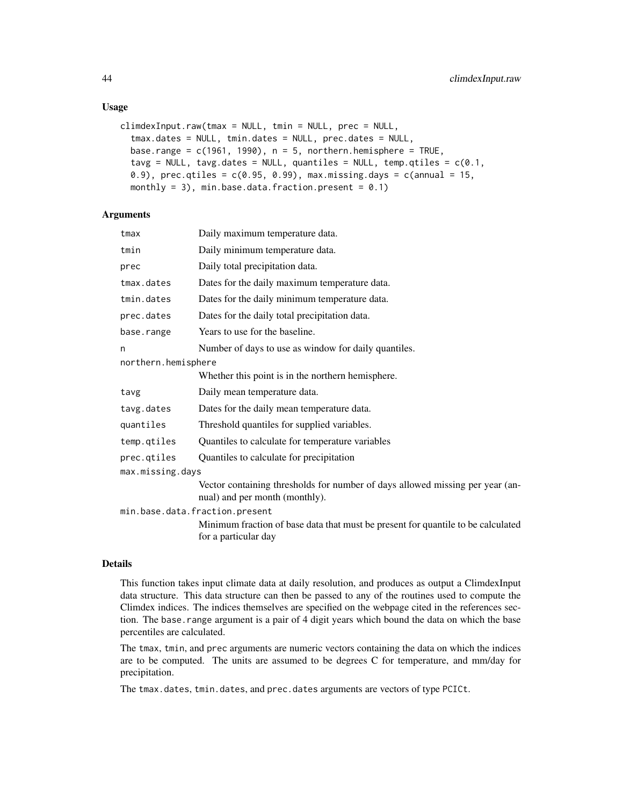# Usage

```
climdexInput.raw(tmax = NULL, tmin = NULL, prec = NULL,
  tmax.dates = NULL, tmin.dates = NULL, prec.dates = NULL,
 base.range = c(1961, 1990), n = 5, northern.hemisphere = TRUE,
  tavg = NULL, tavg.dates = NULL, quantiles = NULL, temp.qtiles = c(0.1,0.9), prec.qtiles = c(0.95, 0.99), max.missing.days = c(annual = 15,
 monthly = 3), min.base.data.fraction.present = 0.1)
```
# **Arguments**

| tmax                | Daily maximum temperature data.                                                                                 |
|---------------------|-----------------------------------------------------------------------------------------------------------------|
| tmin                | Daily minimum temperature data.                                                                                 |
| prec                | Daily total precipitation data.                                                                                 |
| tmax.dates          | Dates for the daily maximum temperature data.                                                                   |
| tmin.dates          | Dates for the daily minimum temperature data.                                                                   |
| prec.dates          | Dates for the daily total precipitation data.                                                                   |
| base.range          | Years to use for the baseline.                                                                                  |
| n                   | Number of days to use as window for daily quantiles.                                                            |
| northern.hemisphere |                                                                                                                 |
|                     | Whether this point is in the northern hemisphere.                                                               |
| tavg                | Daily mean temperature data.                                                                                    |
| tavg.dates          | Dates for the daily mean temperature data.                                                                      |
| quantiles           | Threshold quantiles for supplied variables.                                                                     |
| temp.qtiles         | Quantiles to calculate for temperature variables                                                                |
| prec.qtiles         | Quantiles to calculate for precipitation                                                                        |
| max.missing.days    |                                                                                                                 |
|                     | Vector containing thresholds for number of days allowed missing per year (an-<br>nual) and per month (monthly). |
|                     | min.base.data.fraction.present                                                                                  |
|                     | Minimum fraction of base data that must be present for quantile to be calculated<br>for a particular day        |

#### Details

This function takes input climate data at daily resolution, and produces as output a ClimdexInput data structure. This data structure can then be passed to any of the routines used to compute the Climdex indices. The indices themselves are specified on the webpage cited in the references section. The base range argument is a pair of 4 digit years which bound the data on which the base percentiles are calculated.

The tmax, tmin, and prec arguments are numeric vectors containing the data on which the indices are to be computed. The units are assumed to be degrees C for temperature, and mm/day for precipitation.

The tmax.dates, tmin.dates, and prec.dates arguments are vectors of type PCICt.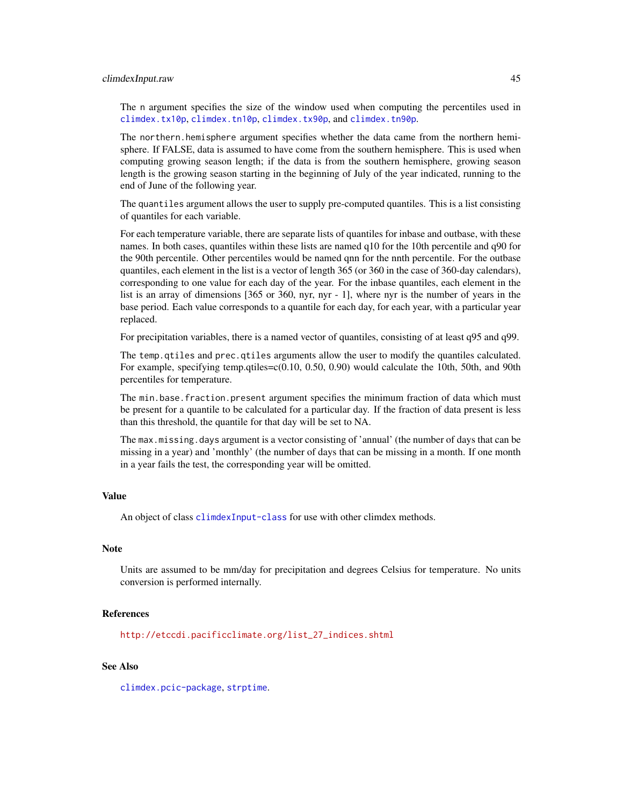#### <span id="page-44-0"></span>climdexInput.raw 45

The n argument specifies the size of the window used when computing the percentiles used in [climdex.tx10p](#page-32-1), [climdex.tn10p](#page-25-1), [climdex.tx90p](#page-33-1), and [climdex.tn90p](#page-27-1).

The northern.hemisphere argument specifies whether the data came from the northern hemisphere. If FALSE, data is assumed to have come from the southern hemisphere. This is used when computing growing season length; if the data is from the southern hemisphere, growing season length is the growing season starting in the beginning of July of the year indicated, running to the end of June of the following year.

The quantiles argument allows the user to supply pre-computed quantiles. This is a list consisting of quantiles for each variable.

For each temperature variable, there are separate lists of quantiles for inbase and outbase, with these names. In both cases, quantiles within these lists are named q10 for the 10th percentile and q90 for the 90th percentile. Other percentiles would be named qnn for the nnth percentile. For the outbase quantiles, each element in the list is a vector of length 365 (or 360 in the case of 360-day calendars), corresponding to one value for each day of the year. For the inbase quantiles, each element in the list is an array of dimensions [365 or 360, nyr, nyr - 1], where nyr is the number of years in the base period. Each value corresponds to a quantile for each day, for each year, with a particular year replaced.

For precipitation variables, there is a named vector of quantiles, consisting of at least q95 and q99.

The temp.qtiles and prec.qtiles arguments allow the user to modify the quantiles calculated. For example, specifying temp.qtiles=c(0.10, 0.50, 0.90) would calculate the 10th, 50th, and 90th percentiles for temperature.

The min.base.fraction.present argument specifies the minimum fraction of data which must be present for a quantile to be calculated for a particular day. If the fraction of data present is less than this threshold, the quantile for that day will be set to NA.

The max.missing.days argument is a vector consisting of 'annual' (the number of days that can be missing in a year) and 'monthly' (the number of days that can be missing in a month. If one month in a year fails the test, the corresponding year will be omitted.

#### Value

An object of class [climdexInput-class](#page-39-1) for use with other climdex methods.

#### Note

Units are assumed to be mm/day for precipitation and degrees Celsius for temperature. No units conversion is performed internally.

# References

[http://etccdi.pacificclimate.org/list\\_27\\_indices.shtml](http://etccdi.pacificclimate.org/list_27_indices.shtml)

# See Also

[climdex.pcic-package](#page-12-1), [strptime](#page-0-0).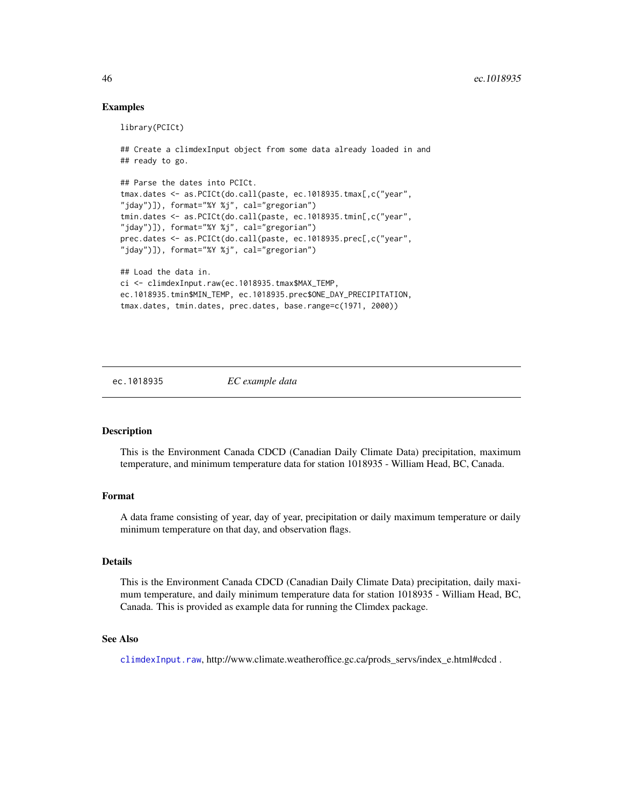# Examples

```
library(PCICt)
## Create a climdexInput object from some data already loaded in and
## ready to go.
## Parse the dates into PCICt.
tmax.dates <- as.PCICt(do.call(paste, ec.1018935.tmax[,c("year",
"jday")]), format="%Y %j", cal="gregorian")
tmin.dates <- as.PCICt(do.call(paste, ec.1018935.tmin[,c("year",
"jday")]), format="%Y %j", cal="gregorian")
prec.dates <- as.PCICt(do.call(paste, ec.1018935.prec[,c("year",
"jday")]), format="%Y %j", cal="gregorian")
## Load the data in.
ci <- climdexInput.raw(ec.1018935.tmax$MAX_TEMP,
ec.1018935.tmin$MIN_TEMP, ec.1018935.prec$ONE_DAY_PRECIPITATION,
tmax.dates, tmin.dates, prec.dates, base.range=c(1971, 2000))
```
ec.1018935 *EC example data*

# Description

This is the Environment Canada CDCD (Canadian Daily Climate Data) precipitation, maximum temperature, and minimum temperature data for station 1018935 - William Head, BC, Canada.

#### Format

A data frame consisting of year, day of year, precipitation or daily maximum temperature or daily minimum temperature on that day, and observation flags.

#### Details

This is the Environment Canada CDCD (Canadian Daily Climate Data) precipitation, daily maximum temperature, and daily minimum temperature data for station 1018935 - William Head, BC, Canada. This is provided as example data for running the Climdex package.

#### See Also

[climdexInput.raw](#page-42-1), http://www.climate.weatheroffice.gc.ca/prods\_servs/index\_e.html#cdcd .

<span id="page-45-0"></span>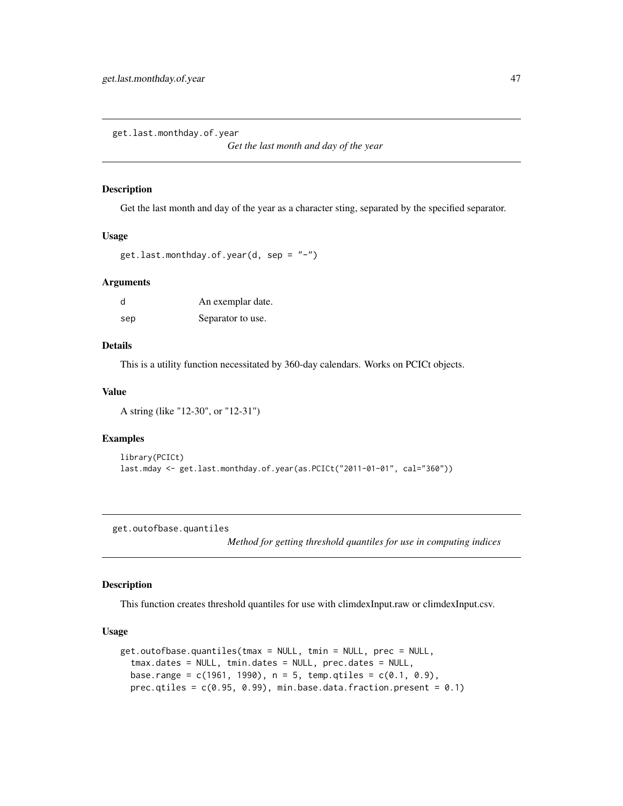<span id="page-46-0"></span>get.last.monthday.of.year

*Get the last month and day of the year*

#### Description

Get the last month and day of the year as a character sting, separated by the specified separator.

# Usage

```
get.last.monthday.of.year(d, sep = "-")
```
# Arguments

| d   | An exemplar date. |
|-----|-------------------|
| sep | Separator to use. |

# Details

This is a utility function necessitated by 360-day calendars. Works on PCICt objects.

# Value

A string (like "12-30", or "12-31")

# Examples

```
library(PCICt)
last.mday <- get.last.monthday.of.year(as.PCICt("2011-01-01", cal="360"))
```
get.outofbase.quantiles

*Method for getting threshold quantiles for use in computing indices*

# Description

This function creates threshold quantiles for use with climdexInput.raw or climdexInput.csv.

# Usage

```
get.outofbase.quantiles(tmax = NULL, tmin = NULL, prec = NULL,
  tmax.dates = NULL, tmin.dates = NULL, prec.dates = NULL,
 base.range = c(1961, 1990), n = 5, temp.qtiles = c(0.1, 0.9),
  prec.qtiles = c(0.95, 0.99), min.base.data.fraction.present = 0.1)
```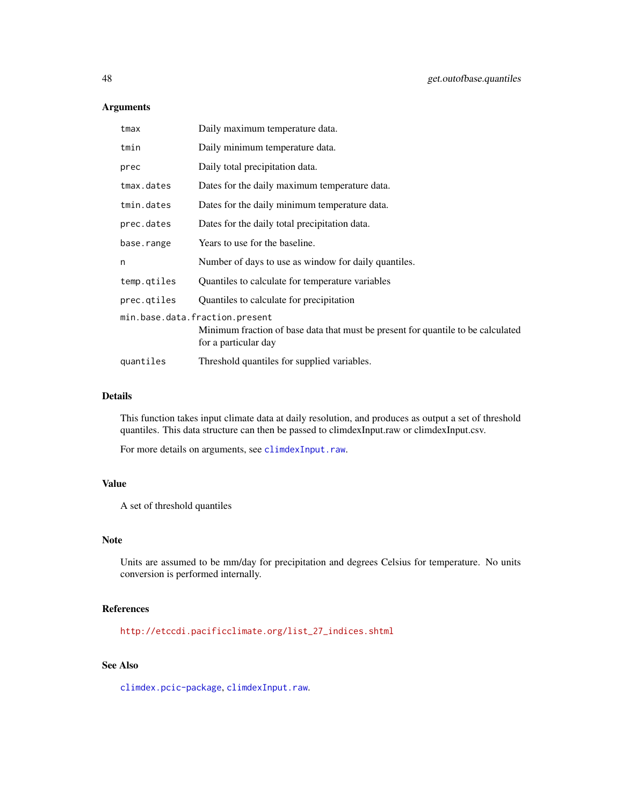# Arguments

| tmax        | Daily maximum temperature data.                                                                          |
|-------------|----------------------------------------------------------------------------------------------------------|
| tmin        | Daily minimum temperature data.                                                                          |
| prec        | Daily total precipitation data.                                                                          |
| tmax.dates  | Dates for the daily maximum temperature data.                                                            |
| tmin.dates  | Dates for the daily minimum temperature data.                                                            |
| prec.dates  | Dates for the daily total precipitation data.                                                            |
| base.range  | Years to use for the baseline.                                                                           |
| n           | Number of days to use as window for daily quantiles.                                                     |
| temp.gtiles | Quantiles to calculate for temperature variables                                                         |
| prec.gtiles | Quantiles to calculate for precipitation                                                                 |
|             | min.base.data.fraction.present                                                                           |
|             | Minimum fraction of base data that must be present for quantile to be calculated<br>for a particular day |
| quantiles   | Threshold quantiles for supplied variables.                                                              |

# Details

This function takes input climate data at daily resolution, and produces as output a set of threshold quantiles. This data structure can then be passed to climdexInput.raw or climdexInput.csv.

For more details on arguments, see [climdexInput.raw](#page-42-1).

# Value

A set of threshold quantiles

#### Note

Units are assumed to be mm/day for precipitation and degrees Celsius for temperature. No units conversion is performed internally.

# References

[http://etccdi.pacificclimate.org/list\\_27\\_indices.shtml](http://etccdi.pacificclimate.org/list_27_indices.shtml)

# See Also

[climdex.pcic-package](#page-12-1), [climdexInput.raw](#page-42-1).

<span id="page-47-0"></span>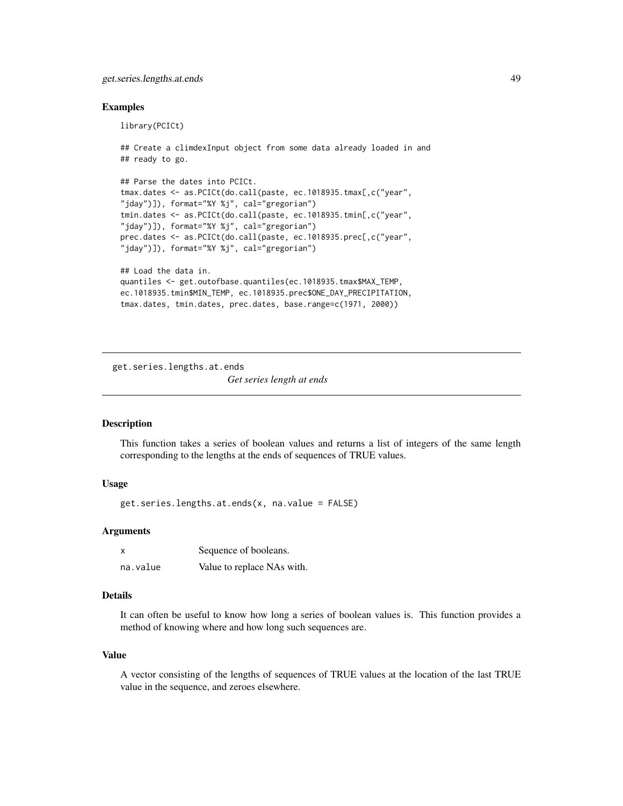# <span id="page-48-0"></span>get.series.lengths.at.ends 49

# Examples

library(PCICt)

```
## ready to go.
## Parse the dates into PCICt.
tmax.dates <- as.PCICt(do.call(paste, ec.1018935.tmax[,c("year",
"jday")]), format="%Y %j", cal="gregorian")
tmin.dates <- as.PCICt(do.call(paste, ec.1018935.tmin[,c("year",
"jday")]), format="%Y %j", cal="gregorian")
prec.dates <- as.PCICt(do.call(paste, ec.1018935.prec[,c("year",
"jday")]), format="%Y %j", cal="gregorian")
## Load the data in.
quantiles <- get.outofbase.quantiles(ec.1018935.tmax$MAX_TEMP,
ec.1018935.tmin$MIN_TEMP, ec.1018935.prec$ONE_DAY_PRECIPITATION,
```
## Create a climdexInput object from some data already loaded in and

```
tmax.dates, tmin.dates, prec.dates, base.range=c(1971, 2000))
```
get.series.lengths.at.ends

*Get series length at ends*

#### Description

This function takes a series of boolean values and returns a list of integers of the same length corresponding to the lengths at the ends of sequences of TRUE values.

# Usage

get.series.lengths.at.ends(x, na.value = FALSE)

# Arguments

|          | Sequence of booleans.      |
|----------|----------------------------|
| na.value | Value to replace NAs with. |

# Details

It can often be useful to know how long a series of boolean values is. This function provides a method of knowing where and how long such sequences are.

#### Value

A vector consisting of the lengths of sequences of TRUE values at the location of the last TRUE value in the sequence, and zeroes elsewhere.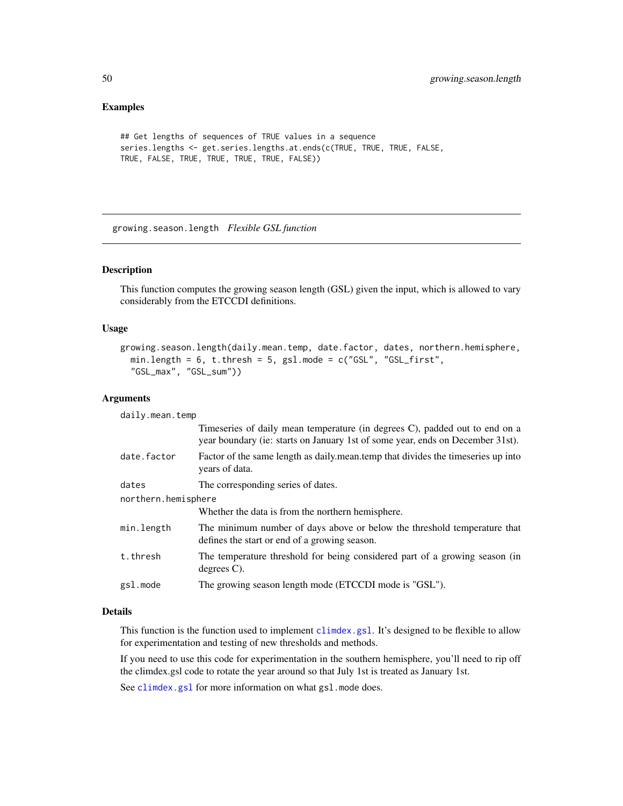# Examples

```
## Get lengths of sequences of TRUE values in a sequence
series.lengths <- get.series.lengths.at.ends(c(TRUE, TRUE, TRUE, FALSE,
TRUE, FALSE, TRUE, TRUE, TRUE, TRUE, FALSE))
```
<span id="page-49-1"></span>growing.season.length *Flexible GSL function*

# Description

This function computes the growing season length (GSL) given the input, which is allowed to vary considerably from the ETCCDI definitions.

# Usage

```
growing.season.length(daily.mean.temp, date.factor, dates, northern.hemisphere,
 min.length = 6, t.thresh = 5, gsl.mode = c("GSL", "GSL-first","GSL_max", "GSL_sum"))
```
#### Arguments

daily.mean.temp

|                     | Timeseries of daily mean temperature (in degrees C), padded out to end on a<br>year boundary (ie: starts on January 1st of some year, ends on December 31st). |
|---------------------|---------------------------------------------------------------------------------------------------------------------------------------------------------------|
| date.factor         | Factor of the same length as daily mean temp that divides the timeseries up into<br>years of data.                                                            |
| dates               | The corresponding series of dates.                                                                                                                            |
| northern.hemisphere |                                                                                                                                                               |
|                     | Whether the data is from the northern hemisphere.                                                                                                             |
| min.length          | The minimum number of days above or below the threshold temperature that<br>defines the start or end of a growing season.                                     |
| t.thresh            | The temperature threshold for being considered part of a growing season (in<br>degrees $C$ ).                                                                 |
| gsl.mode            | The growing season length mode (ETCCDI mode is "GSL").                                                                                                        |

# Details

This function is the function used to implement [climdex.gsl](#page-9-1). It's designed to be flexible to allow for experimentation and testing of new thresholds and methods.

If you need to use this code for experimentation in the southern hemisphere, you'll need to rip off the climdex.gsl code to rotate the year around so that July 1st is treated as January 1st.

See [climdex.gsl](#page-9-1) for more information on what gsl.mode does.

<span id="page-49-0"></span>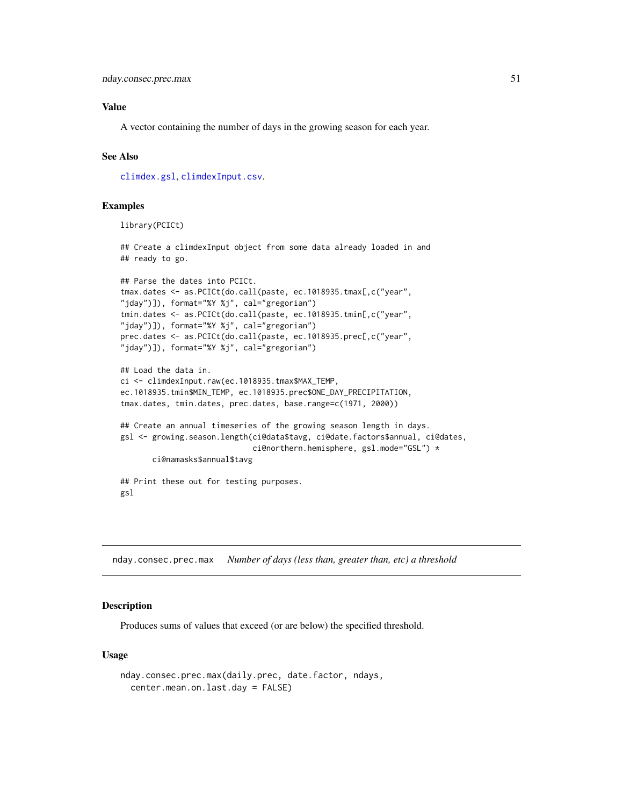# <span id="page-50-0"></span>Value

A vector containing the number of days in the growing season for each year.

# See Also

[climdex.gsl](#page-9-1), [climdexInput.csv](#page-40-1).

# Examples

library(PCICt)

## Create a climdexInput object from some data already loaded in and ## ready to go.

```
## Parse the dates into PCICt.
tmax.dates <- as.PCICt(do.call(paste, ec.1018935.tmax[,c("year",
"jday")]), format="%Y %j", cal="gregorian")
tmin.dates <- as.PCICt(do.call(paste, ec.1018935.tmin[,c("year",
"jday")]), format="%Y %j", cal="gregorian")
prec.dates <- as.PCICt(do.call(paste, ec.1018935.prec[,c("year",
"jday")]), format="%Y %j", cal="gregorian")
```

```
## Load the data in.
ci <- climdexInput.raw(ec.1018935.tmax$MAX_TEMP,
ec.1018935.tmin$MIN_TEMP, ec.1018935.prec$ONE_DAY_PRECIPITATION,
tmax.dates, tmin.dates, prec.dates, base.range=c(1971, 2000))
```

```
## Create an annual timeseries of the growing season length in days.
gsl <- growing.season.length(ci@data$tavg, ci@date.factors$annual, ci@dates,
                             ci@northern.hemisphere, gsl.mode="GSL") *
      ci@namasks$annual$tavg
## Print these out for testing purposes.
```
gsl

nday.consec.prec.max *Number of days (less than, greater than, etc) a threshold*

# **Description**

Produces sums of values that exceed (or are below) the specified threshold.

# Usage

```
nday.consec.prec.max(daily.prec, date.factor, ndays,
  center.mean.on.last.day = FALSE)
```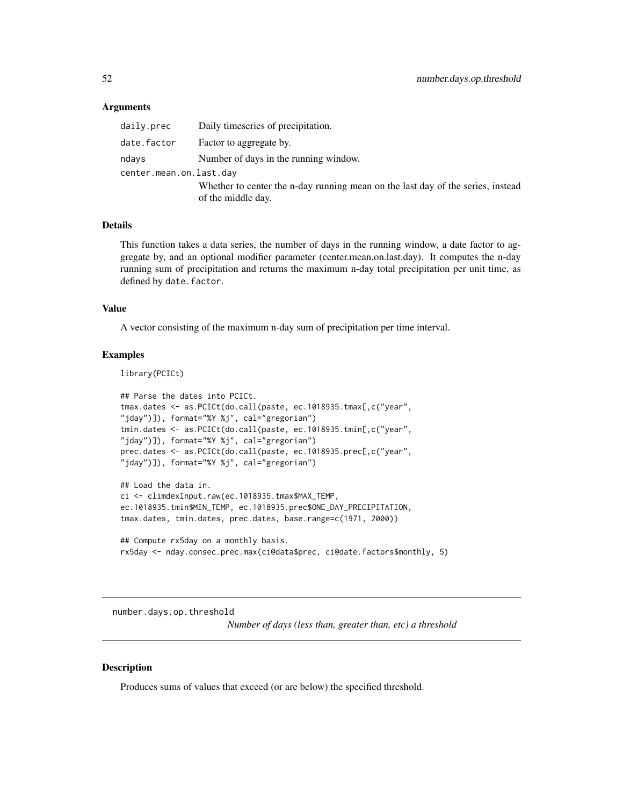# <span id="page-51-0"></span>Arguments

| daily.prec              | Daily timeseries of precipitation.                                              |
|-------------------------|---------------------------------------------------------------------------------|
| date.factor             | Factor to aggregate by.                                                         |
| ndays                   | Number of days in the running window.                                           |
| center.mean.on.last.day |                                                                                 |
|                         | Whether to center the n-day running mean on the last day of the series, instead |
|                         | of the middle day.                                                              |

#### Details

This function takes a data series, the number of days in the running window, a date factor to aggregate by, and an optional modifier parameter (center.mean.on.last.day). It computes the n-day running sum of precipitation and returns the maximum n-day total precipitation per unit time, as defined by date.factor.

# Value

A vector consisting of the maximum n-day sum of precipitation per time interval.

# Examples

library(PCICt)

```
## Parse the dates into PCICt.
tmax.dates <- as.PCICt(do.call(paste, ec.1018935.tmax[,c("year",
"jday")]), format="%Y %j", cal="gregorian")
tmin.dates <- as.PCICt(do.call(paste, ec.1018935.tmin[,c("year",
"jday")]), format="%Y %j", cal="gregorian")
prec.dates <- as.PCICt(do.call(paste, ec.1018935.prec[,c("year",
"jday")]), format="%Y %j", cal="gregorian")
## Load the data in.
```
ci <- climdexInput.raw(ec.1018935.tmax\$MAX\_TEMP, ec.1018935.tmin\$MIN\_TEMP, ec.1018935.prec\$ONE\_DAY\_PRECIPITATION, tmax.dates, tmin.dates, prec.dates, base.range=c(1971, 2000))

## Compute rx5day on a monthly basis. rx5day <- nday.consec.prec.max(ci@data\$prec, ci@date.factors\$monthly, 5)

number.days.op.threshold

*Number of days (less than, greater than, etc) a threshold*

# **Description**

Produces sums of values that exceed (or are below) the specified threshold.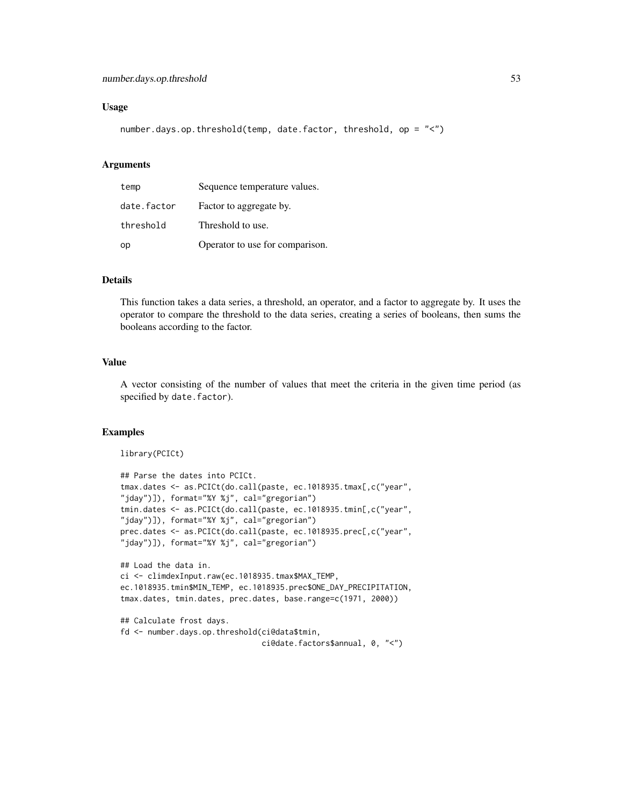# Usage

```
number.days.op.threshold(temp, date.factor, threshold, op = "<")
```
# Arguments

| temp        | Sequence temperature values.    |
|-------------|---------------------------------|
| date.factor | Factor to aggregate by.         |
| threshold   | Threshold to use.               |
| op          | Operator to use for comparison. |

# Details

This function takes a data series, a threshold, an operator, and a factor to aggregate by. It uses the operator to compare the threshold to the data series, creating a series of booleans, then sums the booleans according to the factor.

#### Value

A vector consisting of the number of values that meet the criteria in the given time period (as specified by date.factor).

#### Examples

library(PCICt)

```
## Parse the dates into PCICt.
tmax.dates <- as.PCICt(do.call(paste, ec.1018935.tmax[,c("year",
"jday")]), format="%Y %j", cal="gregorian")
tmin.dates <- as.PCICt(do.call(paste, ec.1018935.tmin[,c("year",
"jday")]), format="%Y %j", cal="gregorian")
prec.dates <- as.PCICt(do.call(paste, ec.1018935.prec[,c("year",
"jday")]), format="%Y %j", cal="gregorian")
## Load the data in.
ci <- climdexInput.raw(ec.1018935.tmax$MAX_TEMP,
ec.1018935.tmin$MIN_TEMP, ec.1018935.prec$ONE_DAY_PRECIPITATION,
tmax.dates, tmin.dates, prec.dates, base.range=c(1971, 2000))
```

```
## Calculate frost days.
fd <- number.days.op.threshold(ci@data$tmin,
                               ci@date.factors$annual, 0, "<")
```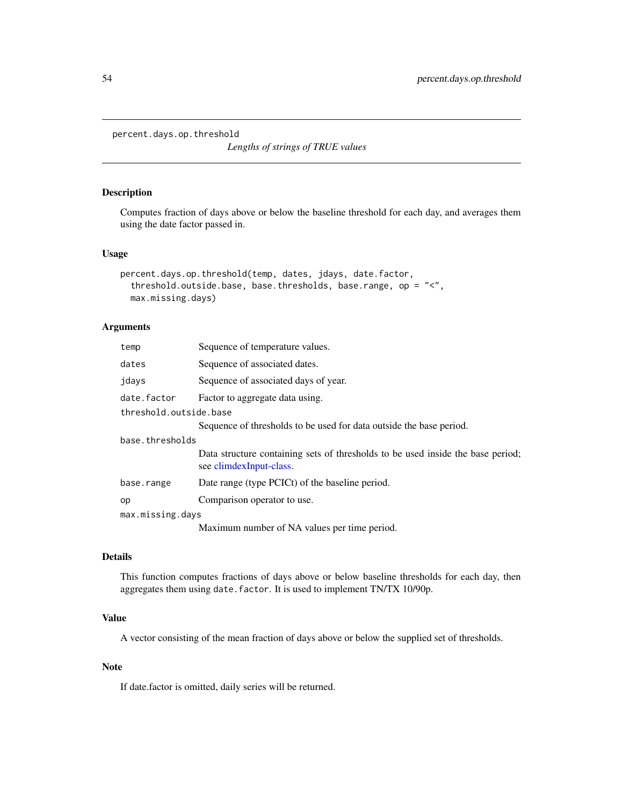<span id="page-53-0"></span>percent.days.op.threshold

*Lengths of strings of TRUE values*

#### Description

Computes fraction of days above or below the baseline threshold for each day, and averages them using the date factor passed in.

#### Usage

```
percent.days.op.threshold(temp, dates, jdays, date.factor,
  threshold.outside.base, base.thresholds, base.range, op = "<",
 max.missing.days)
```
# Arguments

| temp                   | Sequence of temperature values.                                                                            |
|------------------------|------------------------------------------------------------------------------------------------------------|
| dates                  | Sequence of associated dates.                                                                              |
| jdays                  | Sequence of associated days of year.                                                                       |
| date.factor            | Factor to aggregate data using.                                                                            |
| threshold.outside.base |                                                                                                            |
|                        | Sequence of thresholds to be used for data outside the base period.                                        |
| base.thresholds        |                                                                                                            |
|                        | Data structure containing sets of thresholds to be used inside the base period;<br>see climdexInput-class. |
| base.range             | Date range (type PCICt) of the baseline period.                                                            |
| op                     | Comparison operator to use.                                                                                |
| max.missing.days       |                                                                                                            |
|                        | Maximum number of NA values per time period.                                                               |

# Details

This function computes fractions of days above or below baseline thresholds for each day, then aggregates them using date.factor. It is used to implement TN/TX 10/90p.

# Value

A vector consisting of the mean fraction of days above or below the supplied set of thresholds.

# Note

If date.factor is omitted, daily series will be returned.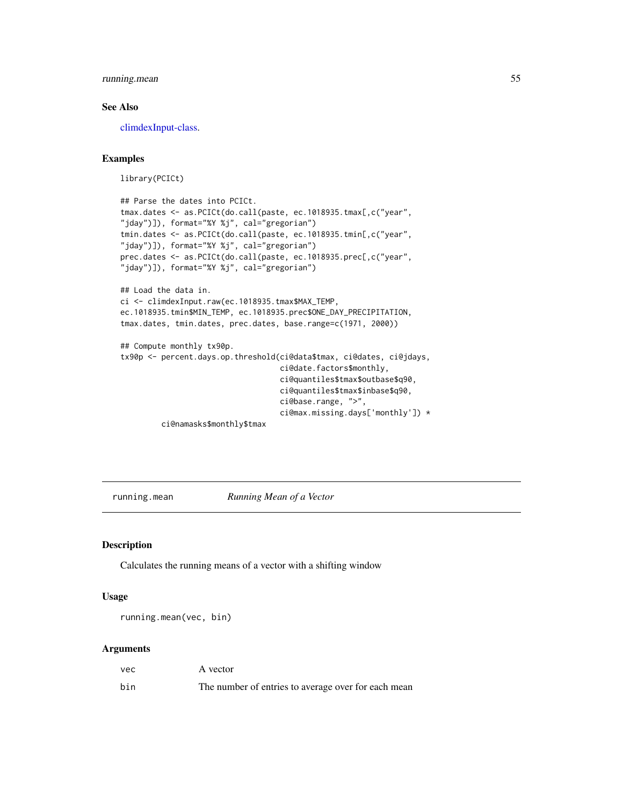# <span id="page-54-0"></span>running.mean 55

# See Also

[climdexInput-class.](#page-39-1)

# Examples

library(PCICt)

```
## Parse the dates into PCICt.
tmax.dates <- as.PCICt(do.call(paste, ec.1018935.tmax[,c("year",
"jday")]), format="%Y %j", cal="gregorian")
tmin.dates <- as.PCICt(do.call(paste, ec.1018935.tmin[,c("year",
"jday")]), format="%Y %j", cal="gregorian")
prec.dates <- as.PCICt(do.call(paste, ec.1018935.prec[,c("year",
"jday")]), format="%Y %j", cal="gregorian")
## Load the data in.
ci <- climdexInput.raw(ec.1018935.tmax$MAX_TEMP,
ec.1018935.tmin$MIN_TEMP, ec.1018935.prec$ONE_DAY_PRECIPITATION,
tmax.dates, tmin.dates, prec.dates, base.range=c(1971, 2000))
## Compute monthly tx90p.
tx90p <- percent.days.op.threshold(ci@data$tmax, ci@dates, ci@jdays,
                                   ci@date.factors$monthly,
                                   ci@quantiles$tmax$outbase$q90,
                                   ci@quantiles$tmax$inbase$q90,
```

```
ci@base.range, ">",
ci@max.missing.days['monthly']) *
```
ci@namasks\$monthly\$tmax

running.mean *Running Mean of a Vector*

# Description

Calculates the running means of a vector with a shifting window

#### Usage

running.mean(vec, bin)

# Arguments

| vec | A vector                                            |
|-----|-----------------------------------------------------|
| bin | The number of entries to average over for each mean |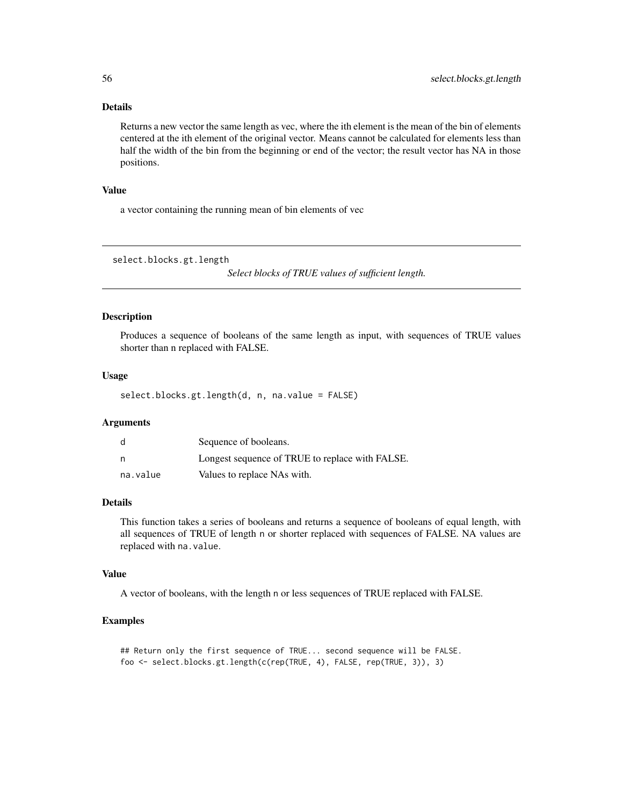# Details

Returns a new vector the same length as vec, where the ith element is the mean of the bin of elements centered at the ith element of the original vector. Means cannot be calculated for elements less than half the width of the bin from the beginning or end of the vector; the result vector has NA in those positions.

# Value

a vector containing the running mean of bin elements of vec

select.blocks.gt.length

*Select blocks of TRUE values of sufficient length.*

#### Description

Produces a sequence of booleans of the same length as input, with sequences of TRUE values shorter than n replaced with FALSE.

# Usage

select.blocks.gt.length(d, n, na.value = FALSE)

#### Arguments

| d        | Sequence of booleans.                           |
|----------|-------------------------------------------------|
| n        | Longest sequence of TRUE to replace with FALSE. |
| na.value | Values to replace NAs with.                     |

# Details

This function takes a series of booleans and returns a sequence of booleans of equal length, with all sequences of TRUE of length n or shorter replaced with sequences of FALSE. NA values are replaced with na.value.

# Value

A vector of booleans, with the length n or less sequences of TRUE replaced with FALSE.

# Examples

```
## Return only the first sequence of TRUE... second sequence will be FALSE.
foo <- select.blocks.gt.length(c(rep(TRUE, 4), FALSE, rep(TRUE, 3)), 3)
```
<span id="page-55-0"></span>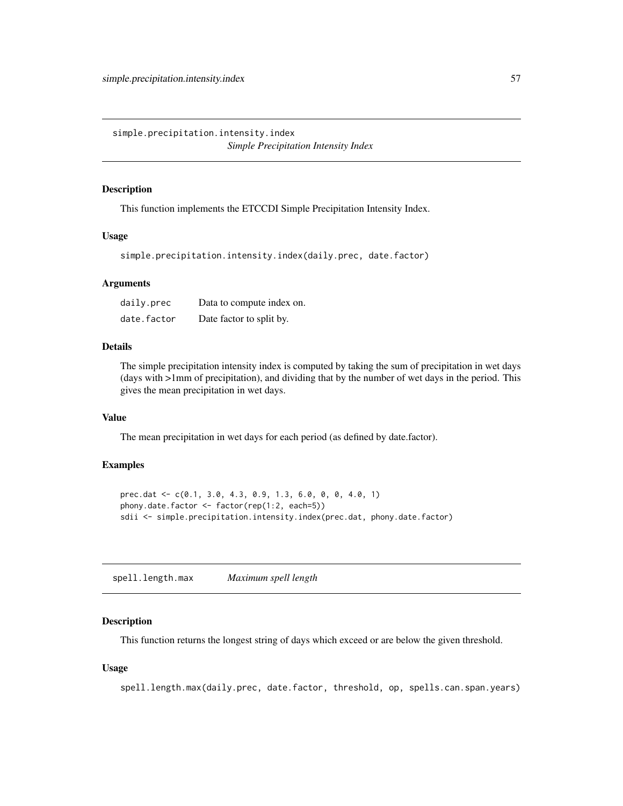<span id="page-56-0"></span>simple.precipitation.intensity.index *Simple Precipitation Intensity Index*

# Description

This function implements the ETCCDI Simple Precipitation Intensity Index.

# Usage

simple.precipitation.intensity.index(daily.prec, date.factor)

# **Arguments**

| daily.prec  | Data to compute index on. |
|-------------|---------------------------|
| date.factor | Date factor to split by.  |

# Details

The simple precipitation intensity index is computed by taking the sum of precipitation in wet days (days with >1mm of precipitation), and dividing that by the number of wet days in the period. This gives the mean precipitation in wet days.

# Value

The mean precipitation in wet days for each period (as defined by date.factor).

# Examples

```
prec.dat <- c(0.1, 3.0, 4.3, 0.9, 1.3, 6.0, 0, 0, 4.0, 1)
phony.date.factor <- factor(rep(1:2, each=5))
sdii <- simple.precipitation.intensity.index(prec.dat, phony.date.factor)
```
<span id="page-56-1"></span>spell.length.max *Maximum spell length*

# Description

This function returns the longest string of days which exceed or are below the given threshold.

#### Usage

spell.length.max(daily.prec, date.factor, threshold, op, spells.can.span.years)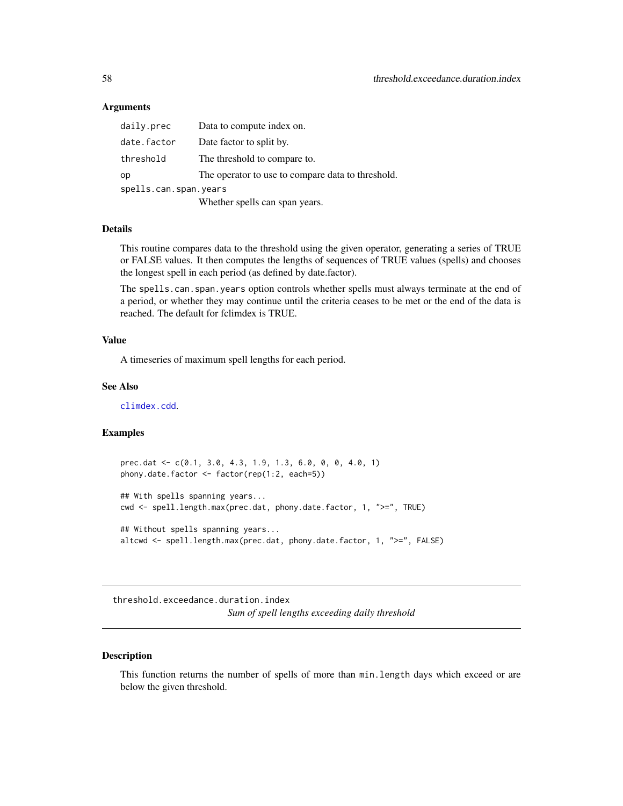# <span id="page-57-0"></span>Arguments

| daily.prec            | Data to compute index on.                         |
|-----------------------|---------------------------------------------------|
| date.factor           | Date factor to split by.                          |
| threshold             | The threshold to compare to.                      |
| op                    | The operator to use to compare data to threshold. |
| spells.can.span.years |                                                   |
|                       | Whether spells can span years.                    |

# Details

This routine compares data to the threshold using the given operator, generating a series of TRUE or FALSE values. It then computes the lengths of sequences of TRUE values (spells) and chooses the longest spell in each period (as defined by date.factor).

The spells.can.span.years option controls whether spells must always terminate at the end of a period, or whether they may continue until the criteria ceases to be met or the end of the data is reached. The default for fclimdex is TRUE.

# Value

A timeseries of maximum spell lengths for each period.

#### See Also

[climdex.cdd](#page-2-1).

# Examples

```
prec.dat <- c(0.1, 3.0, 4.3, 1.9, 1.3, 6.0, 0, 0, 4.0, 1)
phony.date.factor <- factor(rep(1:2, each=5))
## With spells spanning years...
cwd <- spell.length.max(prec.dat, phony.date.factor, 1, ">=", TRUE)
## Without spells spanning years...
altcwd <- spell.length.max(prec.dat, phony.date.factor, 1, ">=", FALSE)
```
<span id="page-57-1"></span>threshold.exceedance.duration.index *Sum of spell lengths exceeding daily threshold*

# Description

This function returns the number of spells of more than min.length days which exceed or are below the given threshold.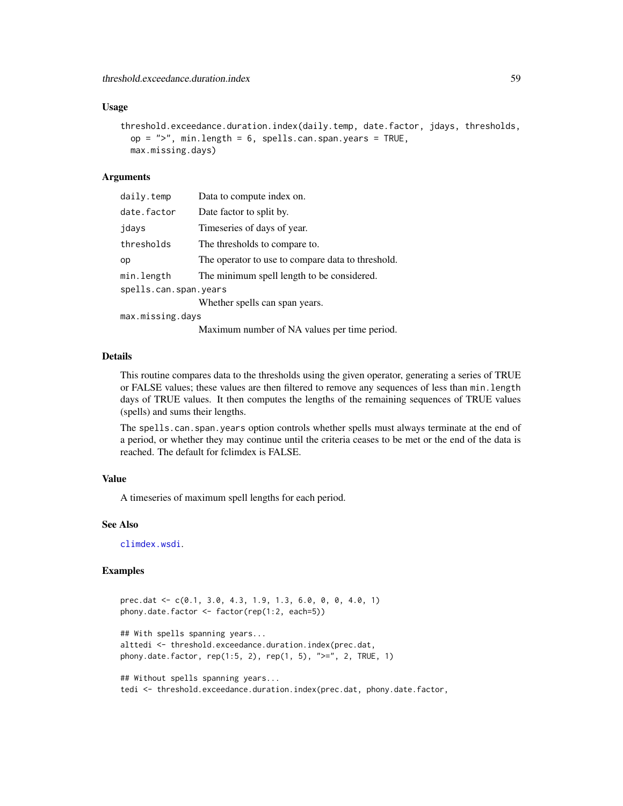# <span id="page-58-0"></span>Usage

```
threshold.exceedance.duration.index(daily.temp, date.factor, jdays, thresholds,
 op = ", min.length = 6, spells.can.span.years = TRUE,
 max.missing.days)
```
#### Arguments

| daily.temp            | Data to compute index on.                         |
|-----------------------|---------------------------------------------------|
| date.factor           | Date factor to split by.                          |
| jdays                 | Timeseries of days of year.                       |
| thresholds            | The thresholds to compare to.                     |
| op                    | The operator to use to compare data to threshold. |
| min.length            | The minimum spell length to be considered.        |
| spells.can.span.years |                                                   |
|                       | Whether spells can span years.                    |
| max.missing.days      |                                                   |

Maximum number of NA values per time period.

# Details

This routine compares data to the thresholds using the given operator, generating a series of TRUE or FALSE values; these values are then filtered to remove any sequences of less than min.length days of TRUE values. It then computes the lengths of the remaining sequences of TRUE values (spells) and sums their lengths.

The spells.can.span.years option controls whether spells must always terminate at the end of a period, or whether they may continue until the criteria ceases to be met or the end of the data is reached. The default for fclimdex is FALSE.

# Value

A timeseries of maximum spell lengths for each period.

# See Also

[climdex.wsdi](#page-37-1).

# Examples

```
prec.dat <- c(0.1, 3.0, 4.3, 1.9, 1.3, 6.0, 0, 0, 4.0, 1)
phony.date.factor <- factor(rep(1:2, each=5))
## With spells spanning years...
alttedi <- threshold.exceedance.duration.index(prec.dat,
phony.date.factor, rep(1:5, 2), rep(1, 5), ">=", 2, TRUE, 1)
## Without spells spanning years...
```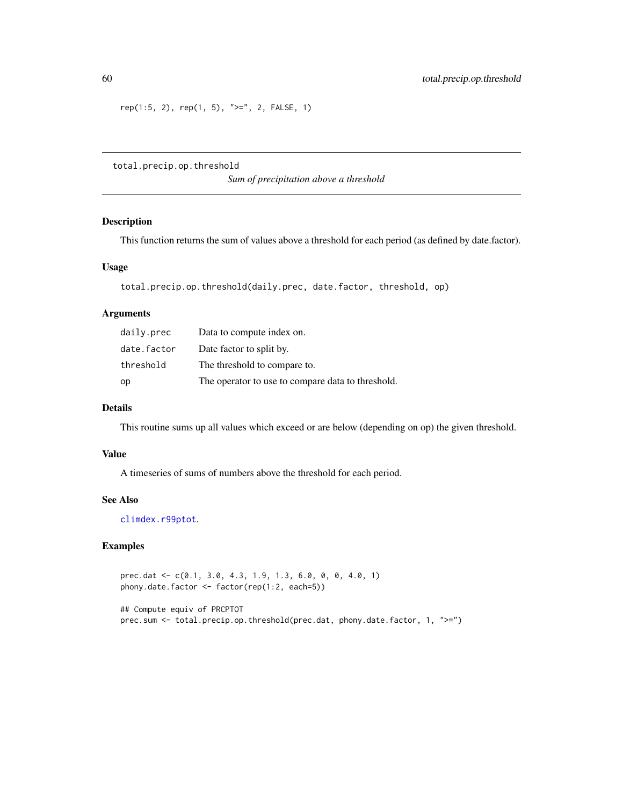$rep(1:5, 2), rep(1, 5), ">=", 2, FALSE, 1)$ 

total.precip.op.threshold

*Sum of precipitation above a threshold*

# Description

This function returns the sum of values above a threshold for each period (as defined by date.factor).

# Usage

```
total.precip.op.threshold(daily.prec, date.factor, threshold, op)
```
# Arguments

| daily.prec  | Data to compute index on.                         |
|-------------|---------------------------------------------------|
| date.factor | Date factor to split by.                          |
| threshold   | The threshold to compare to.                      |
| op          | The operator to use to compare data to threshold. |

# Details

This routine sums up all values which exceed or are below (depending on op) the given threshold.

# Value

A timeseries of sums of numbers above the threshold for each period.

# See Also

[climdex.r99ptot](#page-18-1).

# Examples

prec.dat <- c(0.1, 3.0, 4.3, 1.9, 1.3, 6.0, 0, 0, 4.0, 1) phony.date.factor <- factor(rep(1:2, each=5))

## Compute equiv of PRCPTOT prec.sum <- total.precip.op.threshold(prec.dat, phony.date.factor, 1, ">=")

<span id="page-59-0"></span>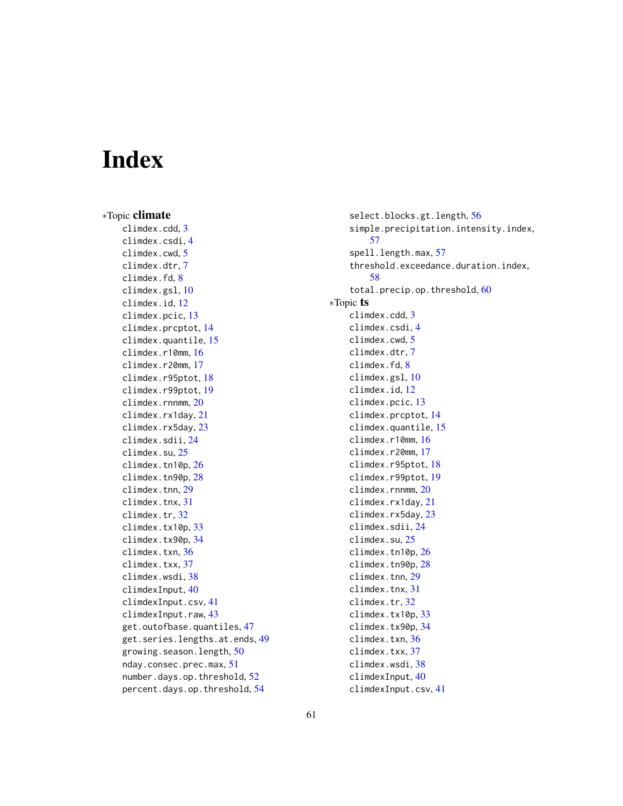# <span id="page-60-0"></span>**Index**

∗Topic climate climdex.cdd, [3](#page-2-0) climdex.csdi, [4](#page-3-0) climdex.cwd, [5](#page-4-0) climdex.dtr, [7](#page-6-0) climdex.fd, [8](#page-7-0) climdex.gsl, [10](#page-9-0) climdex.id, [12](#page-11-0) climdex.pcic, [13](#page-12-0) climdex.prcptot, [14](#page-13-0) climdex.quantile, [15](#page-14-0) climdex.r10mm, [16](#page-15-0) climdex.r20mm, [17](#page-16-0) climdex.r95ptot, [18](#page-17-0) climdex.r99ptot, [19](#page-18-0) climdex.rnnmm, [20](#page-19-0) climdex.rx1day, [21](#page-20-0) climdex.rx5day, [23](#page-22-0) climdex.sdii, [24](#page-23-0) climdex.su, [25](#page-24-0) climdex.tn10p, [26](#page-25-0) climdex.tn90p, [28](#page-27-0) climdex.tnn, [29](#page-28-0) climdex.tnx, [31](#page-30-0) climdex.tr, [32](#page-31-0) climdex.tx10p, [33](#page-32-0) climdex.tx90p, [34](#page-33-0) climdex.txn, [36](#page-35-0) climdex.txx, [37](#page-36-0) climdex.wsdi, [38](#page-37-0) climdexInput, [40](#page-39-0) climdexInput.csv, [41](#page-40-0) climdexInput.raw, [43](#page-42-0) get.outofbase.quantiles, [47](#page-46-0) get.series.lengths.at.ends, [49](#page-48-0) growing.season.length, [50](#page-49-0) nday.consec.prec.max, [51](#page-50-0) number.days.op.threshold, [52](#page-51-0) percent.days.op.threshold, [54](#page-53-0)

select.blocks.gt.length, [56](#page-55-0) simple.precipitation.intensity.index, [57](#page-56-0) spell.length.max, [57](#page-56-0) threshold.exceedance.duration.index, [58](#page-57-0) total.precip.op.threshold, [60](#page-59-0) ∗Topic ts climdex.cdd, [3](#page-2-0) climdex.csdi, [4](#page-3-0) climdex.cwd, [5](#page-4-0) climdex.dtr, [7](#page-6-0) climdex.fd, [8](#page-7-0) climdex.gsl, [10](#page-9-0) climdex.id, [12](#page-11-0) climdex.pcic, [13](#page-12-0) climdex.prcptot, [14](#page-13-0) climdex.quantile, [15](#page-14-0) climdex.r10mm, [16](#page-15-0) climdex.r20mm, [17](#page-16-0) climdex.r95ptot, [18](#page-17-0) climdex.r99ptot, [19](#page-18-0) climdex.rnnmm, [20](#page-19-0) climdex.rx1day, [21](#page-20-0) climdex.rx5day, [23](#page-22-0) climdex.sdii, [24](#page-23-0) climdex.su, [25](#page-24-0) climdex.tn10p, [26](#page-25-0) climdex.tn90p, [28](#page-27-0) climdex.tnn, [29](#page-28-0) climdex.tnx, [31](#page-30-0) climdex.tr, [32](#page-31-0) climdex.tx10p, [33](#page-32-0) climdex.tx90p, [34](#page-33-0) climdex.txn, [36](#page-35-0) climdex.txx, [37](#page-36-0) climdex.wsdi, [38](#page-37-0) climdexInput, [40](#page-39-0) climdexInput.csv, [41](#page-40-0)